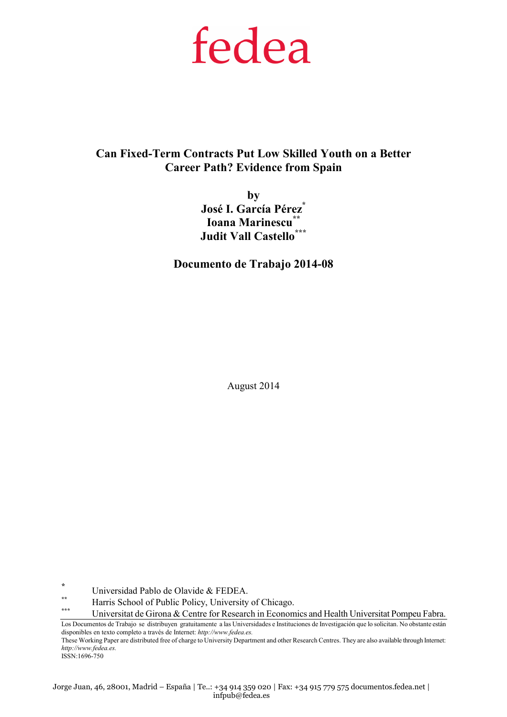# fedea

Can Fixed-Term Contracts Put Low Skilled Youth on a Better Career Path? Evidence from Spain

> by José I. García Pérez\* Ioana Marinescu<sup>\*\*</sup> Judit Vall Castello\*\*\*

Documento de Trabajo 2014-08

August 2014

Universidad Pablo de Olavide & FEDEA.

\*

\*\* Harris School of Public Policy, University of Chicago.

Universitat de Girona & Centre for Research in Economics and Health Universitat Pompeu Fabra.

Los Documentos de Trabajo se distribuyen gratuitamente a las Universidades e Instituciones de Investigación que lo solicitan. No obstante están disponibles en texto completo a través de Internet: http://www.fedea.es.

These Working Paper are distributed free of charge to University Department and other Research Centres. They are also available through Internet: http://www.fedea.es. ISSN:1696-750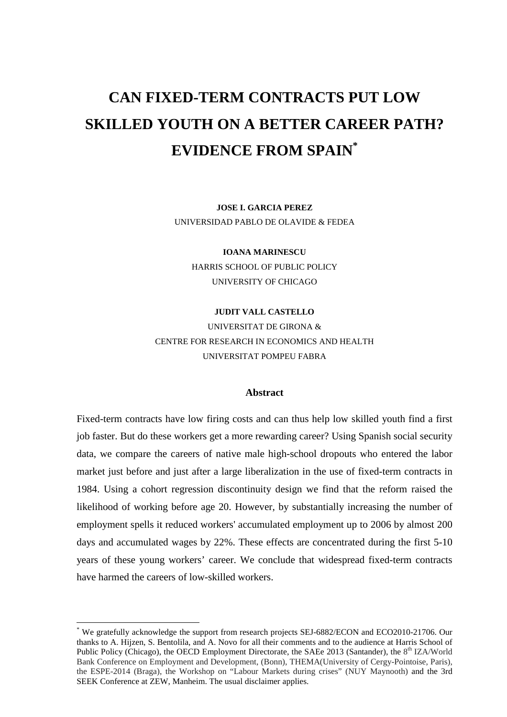## **CAN FIXED-TERM CONTRACTS PUT LOW SKILLED YOUTH ON A BETTER CAREER PATH? EVIDENCE FROM SPAIN\***

**JOSE I. GARCIA PEREZ**  UNIVERSIDAD PABLO DE OLAVIDE & FEDEA

**IOANA MARINESCU**  HARRIS SCHOOL OF PUBLIC POLICY UNIVERSITY OF CHICAGO

#### **JUDIT VALL CASTELLO**

UNIVERSITAT DE GIRONA & CENTRE FOR RESEARCH IN ECONOMICS AND HEALTH UNIVERSITAT POMPEU FABRA

#### **Abstract**

Fixed-term contracts have low firing costs and can thus help low skilled youth find a first job faster. But do these workers get a more rewarding career? Using Spanish social security data, we compare the careers of native male high-school dropouts who entered the labor market just before and just after a large liberalization in the use of fixed-term contracts in 1984. Using a cohort regression discontinuity design we find that the reform raised the likelihood of working before age 20. However, by substantially increasing the number of employment spells it reduced workers' accumulated employment up to 2006 by almost 200 days and accumulated wages by 22%. These effects are concentrated during the first 5-10 years of these young workers' career. We conclude that widespread fixed-term contracts have harmed the careers of low-skilled workers.

<sup>\*</sup> We gratefully acknowledge the support from research projects SEJ-6882/ECON and ECO2010-21706. Our thanks to A. Hijzen, S. Bentolila, and A. Novo for all their comments and to the audience at Harris School of Public Policy (Chicago), the OECD Employment Directorate, the SAEe 2013 (Santander), the 8<sup>th</sup> IZA/World Bank Conference on Employment and Development, (Bonn), THEMA(University of Cergy-Pointoise, Paris), the ESPE-2014 (Braga), the Workshop on "Labour Markets during crises" (NUY Maynooth) and the 3rd SEEK Conference at ZEW, Manheim. The usual disclaimer applies.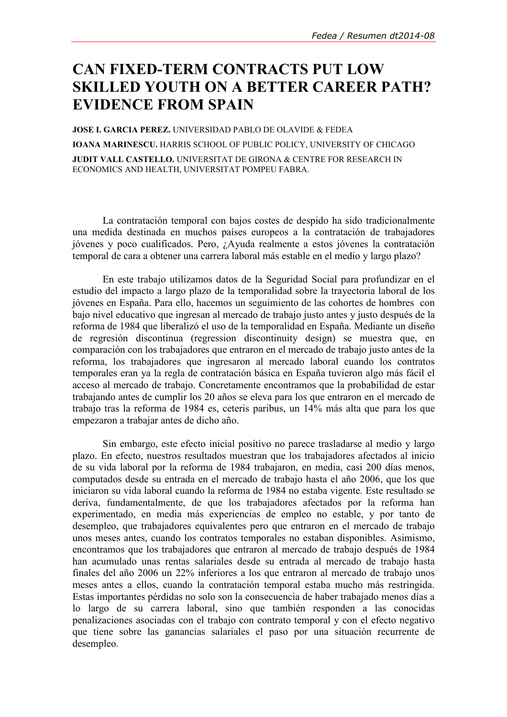### CAN FIXED-TERM CONTRACTS PUT LOW SKILLED YOUTH ON A BETTER CAREER PATH? EVIDENCE FROM SPAIN

JOSE I. GARCIA PEREZ. UNIVERSIDAD PABLO DE OLAVIDE & FEDEA IOANA MARINESCU. HARRIS SCHOOL OF PUBLIC POLICY, UNIVERSITY OF CHICAGO JUDIT VALL CASTELLO. UNIVERSITAT DE GIRONA & CENTRE FOR RESEARCH IN ECONOMICS AND HEALTH, UNIVERSITAT POMPEU FABRA.

 La contratación temporal con bajos costes de despido ha sido tradicionalmente una medida destinada en muchos países europeos a la contratación de trabajadores jóvenes y poco cualificados. Pero, ¿Ayuda realmente a estos jóvenes la contratación temporal de cara a obtener una carrera laboral más estable en el medio y largo plazo?

 En este trabajo utilizamos datos de la Seguridad Social para profundizar en el estudio del impacto a largo plazo de la temporalidad sobre la trayectoria laboral de los jóvenes en España. Para ello, hacemos un seguimiento de las cohortes de hombres con bajo nivel educativo que ingresan al mercado de trabajo justo antes y justo después de la reforma de 1984 que liberalizó el uso de la temporalidad en España. Mediante un diseño de regresión discontinua (regression discontinuity design) se muestra que, en comparación con los trabajadores que entraron en el mercado de trabajo justo antes de la reforma, los trabajadores que ingresaron al mercado laboral cuando los contratos temporales eran ya la regla de contratación básica en España tuvieron algo más fácil el acceso al mercado de trabajo. Concretamente encontramos que la probabilidad de estar trabajando antes de cumplir los 20 años se eleva para los que entraron en el mercado de trabajo tras la reforma de 1984 es, ceteris paribus, un 14% más alta que para los que empezaron a trabajar antes de dicho año.

 Sin embargo, este efecto inicial positivo no parece trasladarse al medio y largo plazo. En efecto, nuestros resultados muestran que los trabajadores afectados al inicio de su vida laboral por la reforma de 1984 trabajaron, en media, casi 200 días menos, computados desde su entrada en el mercado de trabajo hasta el año 2006, que los que iniciaron su vida laboral cuando la reforma de 1984 no estaba vigente. Este resultado se deriva, fundamentalmente, de que los trabajadores afectados por la reforma han experimentado, en media más experiencias de empleo no estable, y por tanto de desempleo, que trabajadores equivalentes pero que entraron en el mercado de trabajo unos meses antes, cuando los contratos temporales no estaban disponibles. Asimismo, encontramos que los trabajadores que entraron al mercado de trabajo después de 1984 han acumulado unas rentas salariales desde su entrada al mercado de trabajo hasta finales del año 2006 un 22% inferiores a los que entraron al mercado de trabajo unos meses antes a ellos, cuando la contratación temporal estaba mucho más restringida. Estas importantes pérdidas no solo son la consecuencia de haber trabajado menos días a lo largo de su carrera laboral, sino que también responden a las conocidas penalizaciones asociadas con el trabajo con contrato temporal y con el efecto negativo que tiene sobre las ganancias salariales el paso por una situación recurrente de desempleo.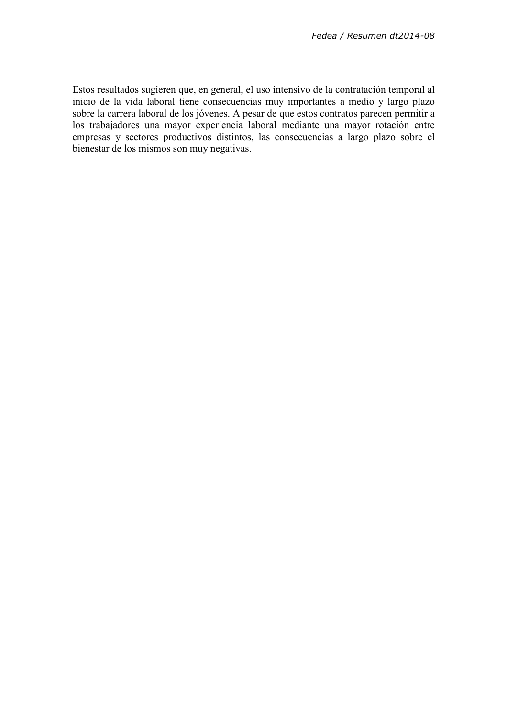Estos resultados sugieren que, en general, el uso intensivo de la contratación temporal al inicio de la vida laboral tiene consecuencias muy importantes a medio y largo plazo sobre la carrera laboral de los jóvenes. A pesar de que estos contratos parecen permitir a los trabajadores una mayor experiencia laboral mediante una mayor rotación entre empresas y sectores productivos distintos, las consecuencias a largo plazo sobre el bienestar de los mismos son muy negativas.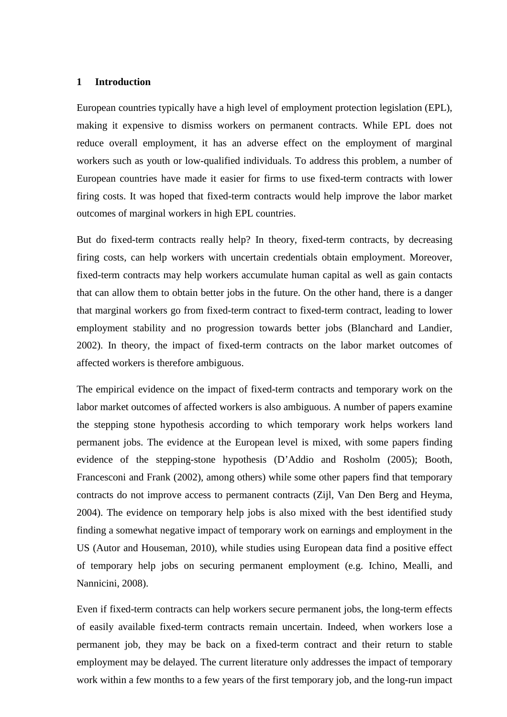#### **1 Introduction**

European countries typically have a high level of employment protection legislation (EPL), making it expensive to dismiss workers on permanent contracts. While EPL does not reduce overall employment, it has an adverse effect on the employment of marginal workers such as youth or low-qualified individuals. To address this problem, a number of European countries have made it easier for firms to use fixed-term contracts with lower firing costs. It was hoped that fixed-term contracts would help improve the labor market outcomes of marginal workers in high EPL countries.

But do fixed-term contracts really help? In theory, fixed-term contracts, by decreasing firing costs, can help workers with uncertain credentials obtain employment. Moreover, fixed-term contracts may help workers accumulate human capital as well as gain contacts that can allow them to obtain better jobs in the future. On the other hand, there is a danger that marginal workers go from fixed-term contract to fixed-term contract, leading to lower employment stability and no progression towards better jobs (Blanchard and Landier, 2002). In theory, the impact of fixed-term contracts on the labor market outcomes of affected workers is therefore ambiguous.

The empirical evidence on the impact of fixed-term contracts and temporary work on the labor market outcomes of affected workers is also ambiguous. A number of papers examine the stepping stone hypothesis according to which temporary work helps workers land permanent jobs. The evidence at the European level is mixed, with some papers finding evidence of the stepping-stone hypothesis (D'Addio and Rosholm (2005); Booth, Francesconi and Frank (2002), among others) while some other papers find that temporary contracts do not improve access to permanent contracts (Zijl, Van Den Berg and Heyma, 2004). The evidence on temporary help jobs is also mixed with the best identified study finding a somewhat negative impact of temporary work on earnings and employment in the US (Autor and Houseman, 2010), while studies using European data find a positive effect of temporary help jobs on securing permanent employment (e.g. Ichino, Mealli, and Nannicini, 2008).

Even if fixed-term contracts can help workers secure permanent jobs, the long-term effects of easily available fixed-term contracts remain uncertain. Indeed, when workers lose a permanent job, they may be back on a fixed-term contract and their return to stable employment may be delayed. The current literature only addresses the impact of temporary work within a few months to a few years of the first temporary job, and the long-run impact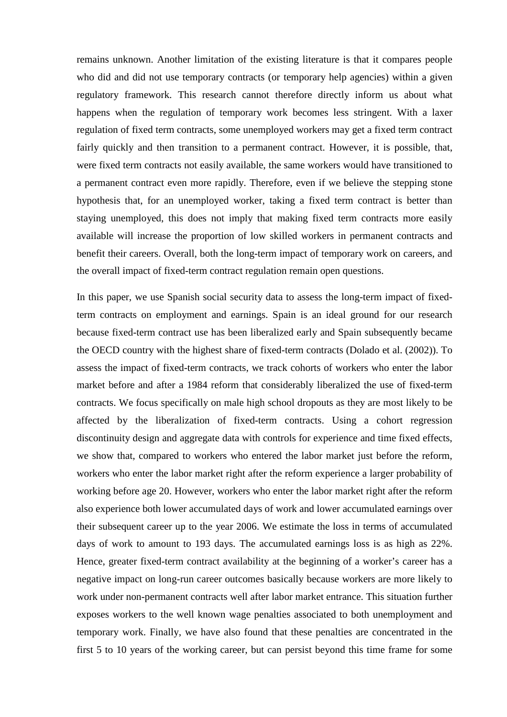remains unknown. Another limitation of the existing literature is that it compares people who did and did not use temporary contracts (or temporary help agencies) within a given regulatory framework. This research cannot therefore directly inform us about what happens when the regulation of temporary work becomes less stringent. With a laxer regulation of fixed term contracts, some unemployed workers may get a fixed term contract fairly quickly and then transition to a permanent contract. However, it is possible, that, were fixed term contracts not easily available, the same workers would have transitioned to a permanent contract even more rapidly. Therefore, even if we believe the stepping stone hypothesis that, for an unemployed worker, taking a fixed term contract is better than staying unemployed, this does not imply that making fixed term contracts more easily available will increase the proportion of low skilled workers in permanent contracts and benefit their careers. Overall, both the long-term impact of temporary work on careers, and the overall impact of fixed-term contract regulation remain open questions.

In this paper, we use Spanish social security data to assess the long-term impact of fixedterm contracts on employment and earnings. Spain is an ideal ground for our research because fixed-term contract use has been liberalized early and Spain subsequently became the OECD country with the highest share of fixed-term contracts (Dolado et al. (2002)). To assess the impact of fixed-term contracts, we track cohorts of workers who enter the labor market before and after a 1984 reform that considerably liberalized the use of fixed-term contracts. We focus specifically on male high school dropouts as they are most likely to be affected by the liberalization of fixed-term contracts. Using a cohort regression discontinuity design and aggregate data with controls for experience and time fixed effects, we show that, compared to workers who entered the labor market just before the reform, workers who enter the labor market right after the reform experience a larger probability of working before age 20. However, workers who enter the labor market right after the reform also experience both lower accumulated days of work and lower accumulated earnings over their subsequent career up to the year 2006. We estimate the loss in terms of accumulated days of work to amount to 193 days. The accumulated earnings loss is as high as 22%. Hence, greater fixed-term contract availability at the beginning of a worker's career has a negative impact on long-run career outcomes basically because workers are more likely to work under non-permanent contracts well after labor market entrance. This situation further exposes workers to the well known wage penalties associated to both unemployment and temporary work. Finally, we have also found that these penalties are concentrated in the first 5 to 10 years of the working career, but can persist beyond this time frame for some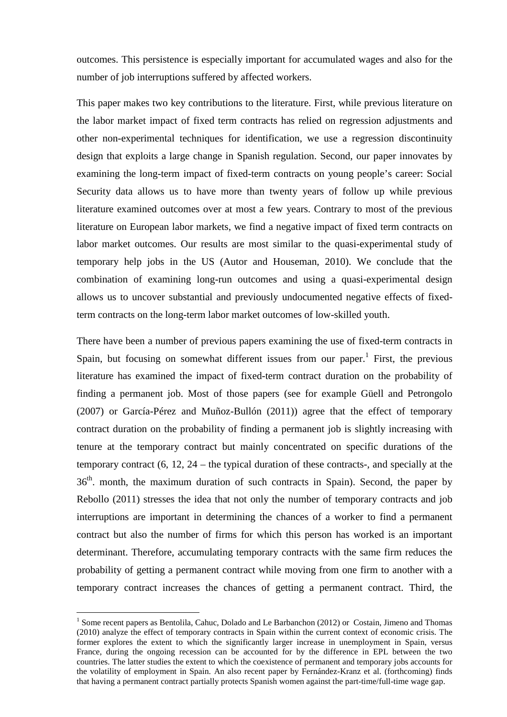outcomes. This persistence is especially important for accumulated wages and also for the number of job interruptions suffered by affected workers.

This paper makes two key contributions to the literature. First, while previous literature on the labor market impact of fixed term contracts has relied on regression adjustments and other non-experimental techniques for identification, we use a regression discontinuity design that exploits a large change in Spanish regulation. Second, our paper innovates by examining the long-term impact of fixed-term contracts on young people's career: Social Security data allows us to have more than twenty years of follow up while previous literature examined outcomes over at most a few years. Contrary to most of the previous literature on European labor markets, we find a negative impact of fixed term contracts on labor market outcomes. Our results are most similar to the quasi-experimental study of temporary help jobs in the US (Autor and Houseman, 2010). We conclude that the combination of examining long-run outcomes and using a quasi-experimental design allows us to uncover substantial and previously undocumented negative effects of fixedterm contracts on the long-term labor market outcomes of low-skilled youth.

There have been a number of previous papers examining the use of fixed-term contracts in Spain, but focusing on somewhat different issues from our paper.<sup>1</sup> First, the previous literature has examined the impact of fixed-term contract duration on the probability of finding a permanent job. Most of those papers (see for example Güell and Petrongolo (2007) or García-Pérez and Muñoz-Bullón (2011)) agree that the effect of temporary contract duration on the probability of finding a permanent job is slightly increasing with tenure at the temporary contract but mainly concentrated on specific durations of the temporary contract (6, 12, 24 – the typical duration of these contracts-, and specially at the  $36<sup>th</sup>$ . month, the maximum duration of such contracts in Spain). Second, the paper by Rebollo (2011) stresses the idea that not only the number of temporary contracts and job interruptions are important in determining the chances of a worker to find a permanent contract but also the number of firms for which this person has worked is an important determinant. Therefore, accumulating temporary contracts with the same firm reduces the probability of getting a permanent contract while moving from one firm to another with a temporary contract increases the chances of getting a permanent contract. Third, the

<sup>&</sup>lt;sup>1</sup> Some recent papers as Bentolila, Cahuc, Dolado and Le Barbanchon (2012) or Costain, Jimeno and Thomas (2010) analyze the effect of temporary contracts in Spain within the current context of economic crisis. The former explores the extent to which the significantly larger increase in unemployment in Spain, versus France, during the ongoing recession can be accounted for by the difference in EPL between the two countries. The latter studies the extent to which the coexistence of permanent and temporary jobs accounts for the volatility of employment in Spain. An also recent paper by Fernández-Kranz et al. (forthcoming) finds that having a permanent contract partially protects Spanish women against the part-time/full-time wage gap.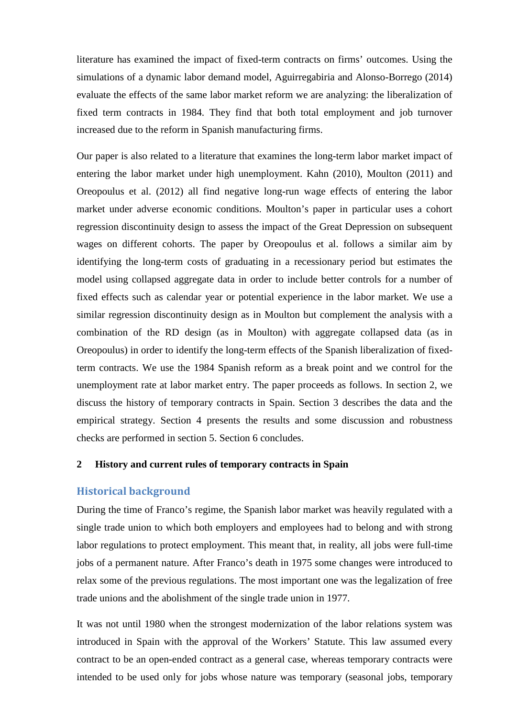literature has examined the impact of fixed-term contracts on firms' outcomes. Using the simulations of a dynamic labor demand model, Aguirregabiria and Alonso-Borrego (2014) evaluate the effects of the same labor market reform we are analyzing: the liberalization of fixed term contracts in 1984. They find that both total employment and job turnover increased due to the reform in Spanish manufacturing firms.

Our paper is also related to a literature that examines the long-term labor market impact of entering the labor market under high unemployment. Kahn (2010), Moulton (2011) and Oreopoulus et al. (2012) all find negative long-run wage effects of entering the labor market under adverse economic conditions. Moulton's paper in particular uses a cohort regression discontinuity design to assess the impact of the Great Depression on subsequent wages on different cohorts. The paper by Oreopoulus et al. follows a similar aim by identifying the long-term costs of graduating in a recessionary period but estimates the model using collapsed aggregate data in order to include better controls for a number of fixed effects such as calendar year or potential experience in the labor market. We use a similar regression discontinuity design as in Moulton but complement the analysis with a combination of the RD design (as in Moulton) with aggregate collapsed data (as in Oreopoulus) in order to identify the long-term effects of the Spanish liberalization of fixedterm contracts. We use the 1984 Spanish reform as a break point and we control for the unemployment rate at labor market entry. The paper proceeds as follows. In section 2, we discuss the history of temporary contracts in Spain. Section 3 describes the data and the empirical strategy. Section 4 presents the results and some discussion and robustness checks are performed in section 5. Section 6 concludes.

#### **2 History and current rules of temporary contracts in Spain**

#### **Historical background**

During the time of Franco's regime, the Spanish labor market was heavily regulated with a single trade union to which both employers and employees had to belong and with strong labor regulations to protect employment. This meant that, in reality, all jobs were full-time jobs of a permanent nature. After Franco's death in 1975 some changes were introduced to relax some of the previous regulations. The most important one was the legalization of free trade unions and the abolishment of the single trade union in 1977.

It was not until 1980 when the strongest modernization of the labor relations system was introduced in Spain with the approval of the Workers' Statute. This law assumed every contract to be an open-ended contract as a general case, whereas temporary contracts were intended to be used only for jobs whose nature was temporary (seasonal jobs, temporary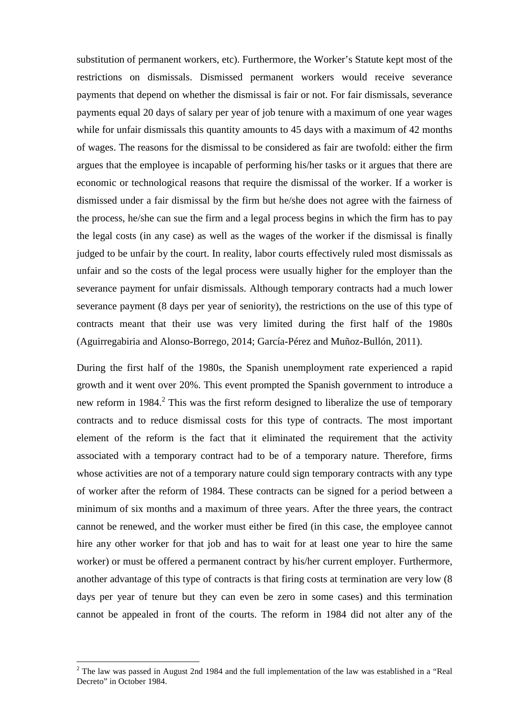substitution of permanent workers, etc). Furthermore, the Worker's Statute kept most of the restrictions on dismissals. Dismissed permanent workers would receive severance payments that depend on whether the dismissal is fair or not. For fair dismissals, severance payments equal 20 days of salary per year of job tenure with a maximum of one year wages while for unfair dismissals this quantity amounts to 45 days with a maximum of 42 months of wages. The reasons for the dismissal to be considered as fair are twofold: either the firm argues that the employee is incapable of performing his/her tasks or it argues that there are economic or technological reasons that require the dismissal of the worker. If a worker is dismissed under a fair dismissal by the firm but he/she does not agree with the fairness of the process, he/she can sue the firm and a legal process begins in which the firm has to pay the legal costs (in any case) as well as the wages of the worker if the dismissal is finally judged to be unfair by the court. In reality, labor courts effectively ruled most dismissals as unfair and so the costs of the legal process were usually higher for the employer than the severance payment for unfair dismissals. Although temporary contracts had a much lower severance payment (8 days per year of seniority), the restrictions on the use of this type of contracts meant that their use was very limited during the first half of the 1980s (Aguirregabiria and Alonso-Borrego, 2014; García-Pérez and Muñoz-Bullón, 2011).

During the first half of the 1980s, the Spanish unemployment rate experienced a rapid growth and it went over 20%. This event prompted the Spanish government to introduce a new reform in  $1984$ <sup>2</sup>. This was the first reform designed to liberalize the use of temporary contracts and to reduce dismissal costs for this type of contracts. The most important element of the reform is the fact that it eliminated the requirement that the activity associated with a temporary contract had to be of a temporary nature. Therefore, firms whose activities are not of a temporary nature could sign temporary contracts with any type of worker after the reform of 1984. These contracts can be signed for a period between a minimum of six months and a maximum of three years. After the three years, the contract cannot be renewed, and the worker must either be fired (in this case, the employee cannot hire any other worker for that job and has to wait for at least one year to hire the same worker) or must be offered a permanent contract by his/her current employer. Furthermore, another advantage of this type of contracts is that firing costs at termination are very low (8 days per year of tenure but they can even be zero in some cases) and this termination cannot be appealed in front of the courts. The reform in 1984 did not alter any of the

<sup>&</sup>lt;sup>2</sup> The law was passed in August 2nd 1984 and the full implementation of the law was established in a "Real" Decreto" in October 1984.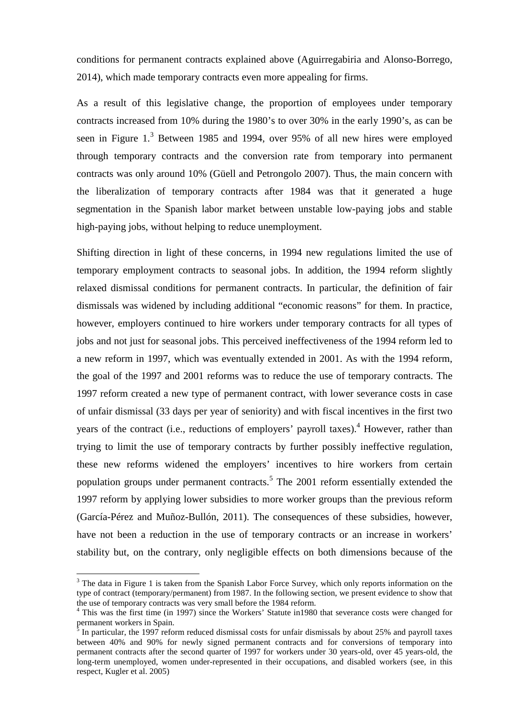conditions for permanent contracts explained above (Aguirregabiria and Alonso-Borrego, 2014), which made temporary contracts even more appealing for firms.

As a result of this legislative change, the proportion of employees under temporary contracts increased from 10% during the 1980's to over 30% in the early 1990's, as can be seen in Figure 1.<sup>3</sup> Between 1985 and 1994, over 95% of all new hires were employed through temporary contracts and the conversion rate from temporary into permanent contracts was only around 10% (Güell and Petrongolo 2007). Thus, the main concern with the liberalization of temporary contracts after 1984 was that it generated a huge segmentation in the Spanish labor market between unstable low-paying jobs and stable high-paying jobs, without helping to reduce unemployment.

Shifting direction in light of these concerns, in 1994 new regulations limited the use of temporary employment contracts to seasonal jobs. In addition, the 1994 reform slightly relaxed dismissal conditions for permanent contracts. In particular, the definition of fair dismissals was widened by including additional "economic reasons" for them. In practice, however, employers continued to hire workers under temporary contracts for all types of jobs and not just for seasonal jobs. This perceived ineffectiveness of the 1994 reform led to a new reform in 1997, which was eventually extended in 2001. As with the 1994 reform, the goal of the 1997 and 2001 reforms was to reduce the use of temporary contracts. The 1997 reform created a new type of permanent contract, with lower severance costs in case of unfair dismissal (33 days per year of seniority) and with fiscal incentives in the first two years of the contract (i.e., reductions of employers' payroll taxes).<sup>4</sup> However, rather than trying to limit the use of temporary contracts by further possibly ineffective regulation, these new reforms widened the employers' incentives to hire workers from certain population groups under permanent contracts.<sup>5</sup> The 2001 reform essentially extended the 1997 reform by applying lower subsidies to more worker groups than the previous reform (García-Pérez and Muñoz-Bullón, 2011). The consequences of these subsidies, however, have not been a reduction in the use of temporary contracts or an increase in workers' stability but, on the contrary, only negligible effects on both dimensions because of the

<sup>&</sup>lt;sup>3</sup> The data in Figure 1 is taken from the Spanish Labor Force Survey, which only reports information on the type of contract (temporary/permanent) from 1987. In the following section, we present evidence to show that the use of temporary contracts was very small before the 1984 reform.

<sup>&</sup>lt;sup>4</sup> This was the first time (in 1997) since the Workers' Statute in 1980 that severance costs were changed for permanent workers in Spain.

 $\frac{5}{3}$  In particular, the 1997 reform reduced dismissal costs for unfair dismissals by about 25% and payroll taxes between 40% and 90% for newly signed permanent contracts and for conversions of temporary into permanent contracts after the second quarter of 1997 for workers under 30 years-old, over 45 years-old, the long-term unemployed, women under-represented in their occupations, and disabled workers (see, in this respect, Kugler et al. 2005)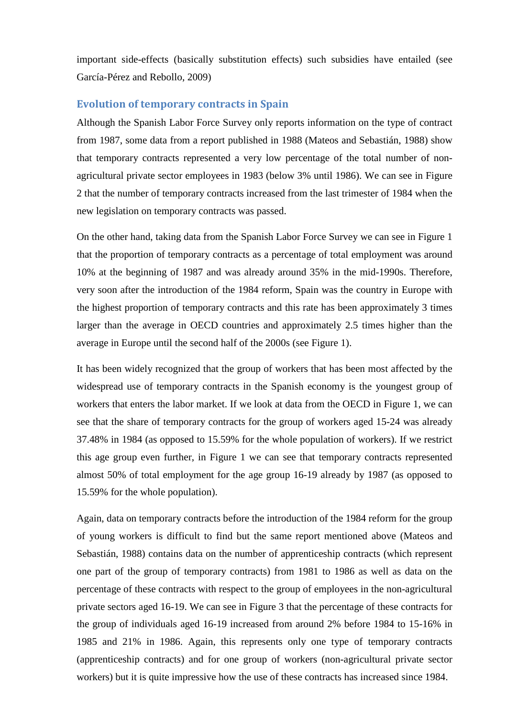important side-effects (basically substitution effects) such subsidies have entailed (see García-Pérez and Rebollo, 2009)

#### **Evolution of temporary contracts in Spain**

Although the Spanish Labor Force Survey only reports information on the type of contract from 1987, some data from a report published in 1988 (Mateos and Sebastián, 1988) show that temporary contracts represented a very low percentage of the total number of nonagricultural private sector employees in 1983 (below 3% until 1986). We can see in Figure 2 that the number of temporary contracts increased from the last trimester of 1984 when the new legislation on temporary contracts was passed.

On the other hand, taking data from the Spanish Labor Force Survey we can see in Figure 1 that the proportion of temporary contracts as a percentage of total employment was around 10% at the beginning of 1987 and was already around 35% in the mid-1990s. Therefore, very soon after the introduction of the 1984 reform, Spain was the country in Europe with the highest proportion of temporary contracts and this rate has been approximately 3 times larger than the average in OECD countries and approximately 2.5 times higher than the average in Europe until the second half of the 2000s (see Figure 1).

It has been widely recognized that the group of workers that has been most affected by the widespread use of temporary contracts in the Spanish economy is the youngest group of workers that enters the labor market. If we look at data from the OECD in Figure 1, we can see that the share of temporary contracts for the group of workers aged 15-24 was already 37.48% in 1984 (as opposed to 15.59% for the whole population of workers). If we restrict this age group even further, in Figure 1 we can see that temporary contracts represented almost 50% of total employment for the age group 16-19 already by 1987 (as opposed to 15.59% for the whole population).

Again, data on temporary contracts before the introduction of the 1984 reform for the group of young workers is difficult to find but the same report mentioned above (Mateos and Sebastián, 1988) contains data on the number of apprenticeship contracts (which represent one part of the group of temporary contracts) from 1981 to 1986 as well as data on the percentage of these contracts with respect to the group of employees in the non-agricultural private sectors aged 16-19. We can see in Figure 3 that the percentage of these contracts for the group of individuals aged 16-19 increased from around 2% before 1984 to 15-16% in 1985 and 21% in 1986. Again, this represents only one type of temporary contracts (apprenticeship contracts) and for one group of workers (non-agricultural private sector workers) but it is quite impressive how the use of these contracts has increased since 1984.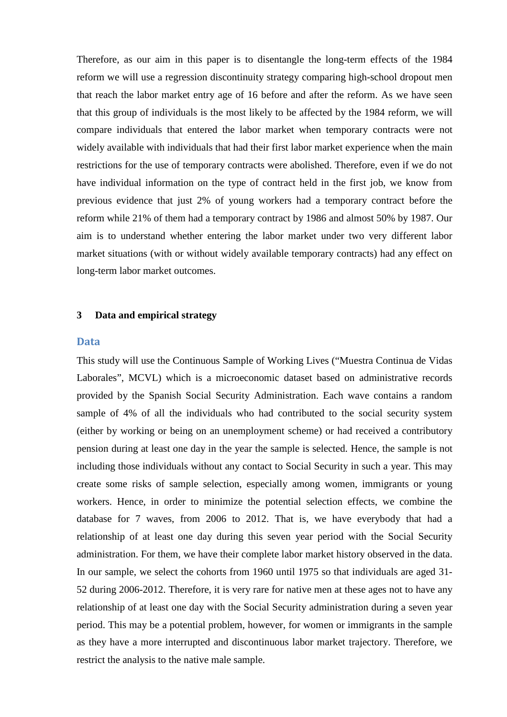Therefore, as our aim in this paper is to disentangle the long-term effects of the 1984 reform we will use a regression discontinuity strategy comparing high-school dropout men that reach the labor market entry age of 16 before and after the reform. As we have seen that this group of individuals is the most likely to be affected by the 1984 reform, we will compare individuals that entered the labor market when temporary contracts were not widely available with individuals that had their first labor market experience when the main restrictions for the use of temporary contracts were abolished. Therefore, even if we do not have individual information on the type of contract held in the first job, we know from previous evidence that just 2% of young workers had a temporary contract before the reform while 21% of them had a temporary contract by 1986 and almost 50% by 1987. Our aim is to understand whether entering the labor market under two very different labor market situations (with or without widely available temporary contracts) had any effect on long-term labor market outcomes.

#### **3 Data and empirical strategy**

#### **Data**

This study will use the Continuous Sample of Working Lives ("Muestra Continua de Vidas Laborales", MCVL) which is a microeconomic dataset based on administrative records provided by the Spanish Social Security Administration. Each wave contains a random sample of 4% of all the individuals who had contributed to the social security system (either by working or being on an unemployment scheme) or had received a contributory pension during at least one day in the year the sample is selected. Hence, the sample is not including those individuals without any contact to Social Security in such a year. This may create some risks of sample selection, especially among women, immigrants or young workers. Hence, in order to minimize the potential selection effects, we combine the database for 7 waves, from 2006 to 2012. That is, we have everybody that had a relationship of at least one day during this seven year period with the Social Security administration. For them, we have their complete labor market history observed in the data. In our sample, we select the cohorts from 1960 until 1975 so that individuals are aged 31- 52 during 2006-2012. Therefore, it is very rare for native men at these ages not to have any relationship of at least one day with the Social Security administration during a seven year period. This may be a potential problem, however, for women or immigrants in the sample as they have a more interrupted and discontinuous labor market trajectory. Therefore, we restrict the analysis to the native male sample.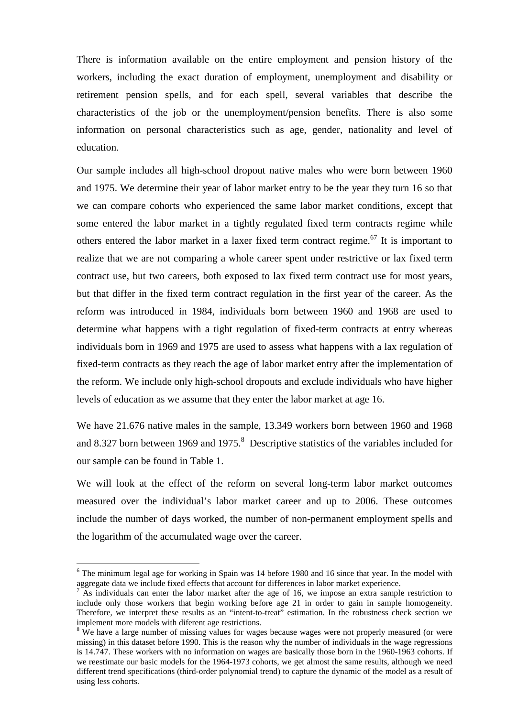There is information available on the entire employment and pension history of the workers, including the exact duration of employment, unemployment and disability or retirement pension spells, and for each spell, several variables that describe the characteristics of the job or the unemployment/pension benefits. There is also some information on personal characteristics such as age, gender, nationality and level of education.

Our sample includes all high-school dropout native males who were born between 1960 and 1975. We determine their year of labor market entry to be the year they turn 16 so that we can compare cohorts who experienced the same labor market conditions, except that some entered the labor market in a tightly regulated fixed term contracts regime while others entered the labor market in a laxer fixed term contract regime.<sup>67</sup> It is important to realize that we are not comparing a whole career spent under restrictive or lax fixed term contract use, but two careers, both exposed to lax fixed term contract use for most years, but that differ in the fixed term contract regulation in the first year of the career. As the reform was introduced in 1984, individuals born between 1960 and 1968 are used to determine what happens with a tight regulation of fixed-term contracts at entry whereas individuals born in 1969 and 1975 are used to assess what happens with a lax regulation of fixed-term contracts as they reach the age of labor market entry after the implementation of the reform. We include only high-school dropouts and exclude individuals who have higher levels of education as we assume that they enter the labor market at age 16.

We have 21.676 native males in the sample, 13.349 workers born between 1960 and 1968 and 8.327 born between 1969 and 1975. $8$  Descriptive statistics of the variables included for our sample can be found in Table 1.

We will look at the effect of the reform on several long-term labor market outcomes measured over the individual's labor market career and up to 2006. These outcomes include the number of days worked, the number of non-permanent employment spells and the logarithm of the accumulated wage over the career.

<sup>&</sup>lt;sup>6</sup> The minimum legal age for working in Spain was 14 before 1980 and 16 since that year. In the model with aggregate data we include fixed effects that account for differences in labor market experience.

<sup>7</sup> As individuals can enter the labor market after the age of 16, we impose an extra sample restriction to include only those workers that begin working before age 21 in order to gain in sample homogeneity. Therefore, we interpret these results as an "intent-to-treat" estimation. In the robustness check section we implement more models with diferent age restrictions.

<sup>&</sup>lt;sup>8</sup> We have a large number of missing values for wages because wages were not properly measured (or were missing) in this dataset before 1990. This is the reason why the number of individuals in the wage regressions is 14.747. These workers with no information on wages are basically those born in the 1960-1963 cohorts. If we reestimate our basic models for the 1964-1973 cohorts, we get almost the same results, although we need different trend specifications (third-order polynomial trend) to capture the dynamic of the model as a result of using less cohorts.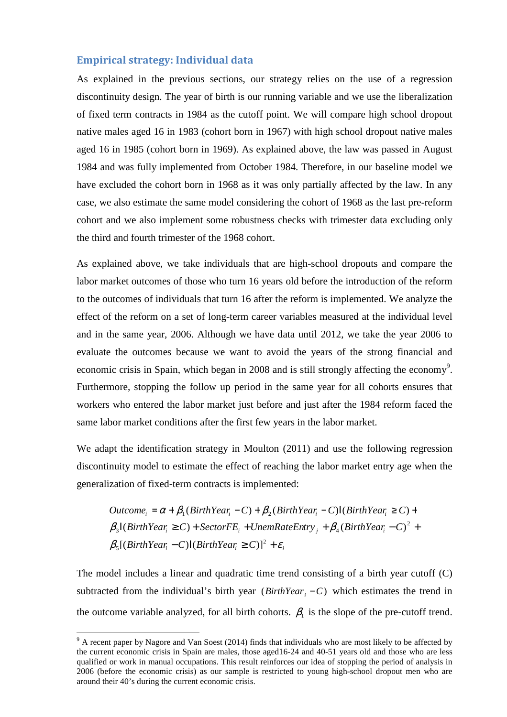#### **Empirical strategy: Individual data**

As explained in the previous sections, our strategy relies on the use of a regression discontinuity design. The year of birth is our running variable and we use the liberalization of fixed term contracts in 1984 as the cutoff point. We will compare high school dropout native males aged 16 in 1983 (cohort born in 1967) with high school dropout native males aged 16 in 1985 (cohort born in 1969). As explained above, the law was passed in August 1984 and was fully implemented from October 1984. Therefore, in our baseline model we have excluded the cohort born in 1968 as it was only partially affected by the law. In any case, we also estimate the same model considering the cohort of 1968 as the last pre-reform cohort and we also implement some robustness checks with trimester data excluding only the third and fourth trimester of the 1968 cohort.

As explained above, we take individuals that are high-school dropouts and compare the labor market outcomes of those who turn 16 years old before the introduction of the reform to the outcomes of individuals that turn 16 after the reform is implemented. We analyze the effect of the reform on a set of long-term career variables measured at the individual level and in the same year, 2006. Although we have data until 2012, we take the year 2006 to evaluate the outcomes because we want to avoid the years of the strong financial and economic crisis in Spain, which began in 2008 and is still strongly affecting the economy<sup>9</sup>. Furthermore, stopping the follow up period in the same year for all cohorts ensures that workers who entered the labor market just before and just after the 1984 reform faced the same labor market conditions after the first few years in the labor market.

We adapt the identification strategy in Moulton (2011) and use the following regression discontinuity model to estimate the effect of reaching the labor market entry age when the generalization of fixed-term contracts is implemented:

$$
Outcome_i = \alpha + \beta_1 (BirthYear_i - C) + \beta_2 (BirthYear_i - C)I(BirthYear_i \ge C) +
$$
  
\n
$$
\beta_3 I(BirthYear_i \ge C) + SectorFE_i + UnemRateEntry_j + \beta_4 (BirthYear_i - C)^2 +
$$
  
\n
$$
\beta_5 [(BirthYear_i - C)I(BirthYear_i \ge C)]^2 + \varepsilon_i
$$

The model includes a linear and quadratic time trend consisting of a birth year cutoff (C) subtracted from the individual's birth year  $(BirthYear_i - C)$  which estimates the trend in the outcome variable analyzed, for all birth cohorts.  $\beta_1$  is the slope of the pre-cutoff trend.

<sup>&</sup>lt;sup>9</sup> A recent paper by Nagore and Van Soest (2014) finds that individuals who are most likely to be affected by the current economic crisis in Spain are males, those aged16-24 and 40-51 years old and those who are less qualified or work in manual occupations. This result reinforces our idea of stopping the period of analysis in 2006 (before the economic crisis) as our sample is restricted to young high-school dropout men who are around their 40's during the current economic crisis.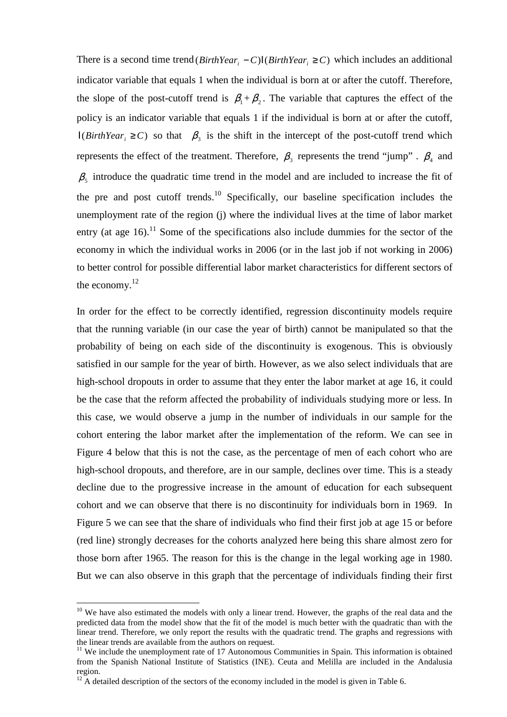There is a second time trend  $(BirthYear_i - C)I(BirthYear_i \ge C)$  which includes an additional indicator variable that equals 1 when the individual is born at or after the cutoff. Therefore, the slope of the post-cutoff trend is  $\beta_1 + \beta_2$ . The variable that captures the effect of the policy is an indicator variable that equals 1 if the individual is born at or after the cutoff,  $I(BirthYear_i \ge C)$  so that  $\beta_3$  is the shift in the intercept of the post-cutoff trend which represents the effect of the treatment. Therefore,  $\beta_3$  represents the trend "jump".  $\beta_4$  and  $\beta_5$  introduce the quadratic time trend in the model and are included to increase the fit of the pre and post cutoff trends.<sup>10</sup> Specifically, our baseline specification includes the unemployment rate of the region (j) where the individual lives at the time of labor market entry (at age  $16$ ).<sup>11</sup> Some of the specifications also include dummies for the sector of the economy in which the individual works in 2006 (or in the last job if not working in 2006) to better control for possible differential labor market characteristics for different sectors of the economy. $^{12}$ 

In order for the effect to be correctly identified, regression discontinuity models require that the running variable (in our case the year of birth) cannot be manipulated so that the probability of being on each side of the discontinuity is exogenous. This is obviously satisfied in our sample for the year of birth. However, as we also select individuals that are high-school dropouts in order to assume that they enter the labor market at age 16, it could be the case that the reform affected the probability of individuals studying more or less. In this case, we would observe a jump in the number of individuals in our sample for the cohort entering the labor market after the implementation of the reform. We can see in Figure 4 below that this is not the case, as the percentage of men of each cohort who are high-school dropouts, and therefore, are in our sample, declines over time. This is a steady decline due to the progressive increase in the amount of education for each subsequent cohort and we can observe that there is no discontinuity for individuals born in 1969. In Figure 5 we can see that the share of individuals who find their first job at age 15 or before (red line) strongly decreases for the cohorts analyzed here being this share almost zero for those born after 1965. The reason for this is the change in the legal working age in 1980. But we can also observe in this graph that the percentage of individuals finding their first

<sup>&</sup>lt;sup>10</sup> We have also estimated the models with only a linear trend. However, the graphs of the real data and the predicted data from the model show that the fit of the model is much better with the quadratic than with the linear trend. Therefore, we only report the results with the quadratic trend. The graphs and regressions with the linear trends are available from the authors on request.

 $11$  We include the unemployment rate of 17 Autonomous Communities in Spain. This information is obtained from the Spanish National Institute of Statistics (INE). Ceuta and Melilla are included in the Andalusia region.

<sup>&</sup>lt;sup>12</sup> A detailed description of the sectors of the economy included in the model is given in Table 6.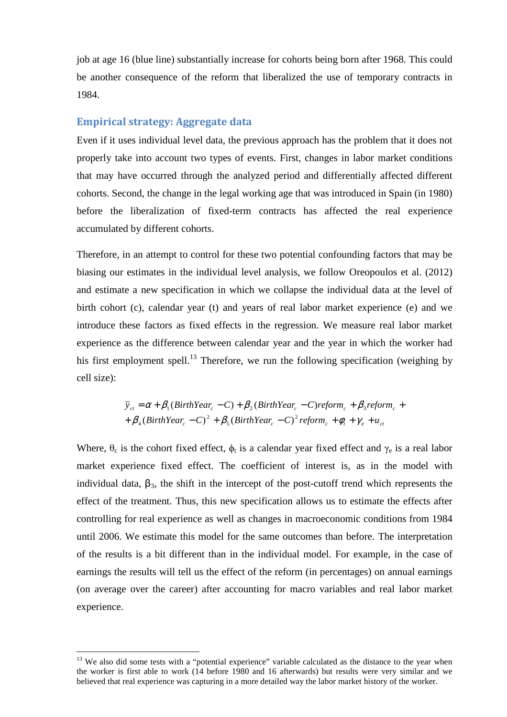job at age 16 (blue line) substantially increase for cohorts being born after 1968. This could be another consequence of the reform that liberalized the use of temporary contracts in 1984.

#### **Empirical strategy: Aggregate data**

Even if it uses individual level data, the previous approach has the problem that it does not properly take into account two types of events. First, changes in labor market conditions that may have occurred through the analyzed period and differentially affected different cohorts. Second, the change in the legal working age that was introduced in Spain (in 1980) before the liberalization of fixed-term contracts has affected the real experience accumulated by different cohorts.

Therefore, in an attempt to control for these two potential confounding factors that may be biasing our estimates in the individual level analysis, we follow Oreopoulos et al. (2012) and estimate a new specification in which we collapse the individual data at the level of birth cohort (c), calendar year (t) and years of real labor market experience (e) and we introduce these factors as fixed effects in the regression. We measure real labor market experience as the difference between calendar year and the year in which the worker had his first employment spell.<sup>13</sup> Therefore, we run the following specification (weighing by cell size):

$$
\overline{y}_{ct} = \alpha + \beta_1 (BirthYear_c - C) + \beta_2 (BirthYear_c - C) reform_c + \beta_3 reform_c ++ \beta_4 (BirthYear_c - C)^2 + \beta_5 (BirthYear_c - C)^2 reform_c + \phi_t + \gamma_e + u_{ct}
$$

Where,  $\theta_c$  is the cohort fixed effect,  $\phi_t$  is a calendar year fixed effect and  $\gamma_e$  is a real labor market experience fixed effect. The coefficient of interest is, as in the model with individual data,  $\beta_3$ , the shift in the intercept of the post-cutoff trend which represents the effect of the treatment. Thus, this new specification allows us to estimate the effects after controlling for real experience as well as changes in macroeconomic conditions from 1984 until 2006. We estimate this model for the same outcomes than before. The interpretation of the results is a bit different than in the individual model. For example, in the case of earnings the results will tell us the effect of the reform (in percentages) on annual earnings (on average over the career) after accounting for macro variables and real labor market experience.

<sup>&</sup>lt;sup>13</sup> We also did some tests with a "potential experience" variable calculated as the distance to the year when the worker is first able to work (14 before 1980 and 16 afterwards) but results were very similar and we believed that real experience was capturing in a more detailed way the labor market history of the worker.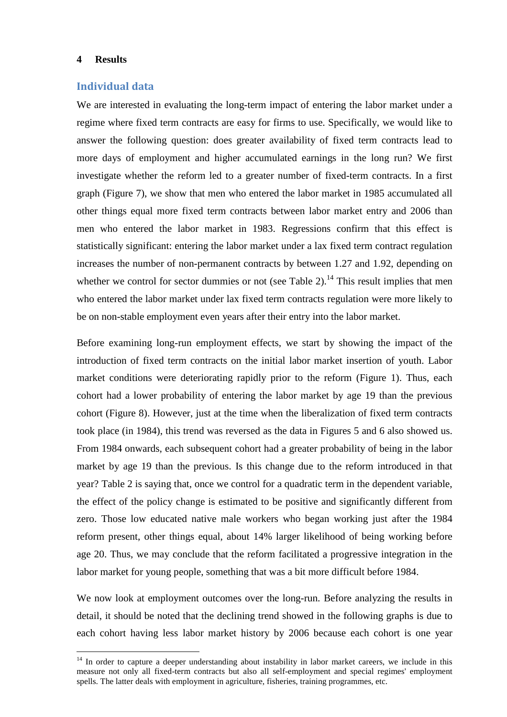#### **4 Results**

 $\overline{a}$ 

#### **Individual data**

We are interested in evaluating the long-term impact of entering the labor market under a regime where fixed term contracts are easy for firms to use. Specifically, we would like to answer the following question: does greater availability of fixed term contracts lead to more days of employment and higher accumulated earnings in the long run? We first investigate whether the reform led to a greater number of fixed-term contracts. In a first graph (Figure 7), we show that men who entered the labor market in 1985 accumulated all other things equal more fixed term contracts between labor market entry and 2006 than men who entered the labor market in 1983. Regressions confirm that this effect is statistically significant: entering the labor market under a lax fixed term contract regulation increases the number of non-permanent contracts by between 1.27 and 1.92, depending on whether we control for sector dummies or not (see Table 2).<sup>14</sup> This result implies that men who entered the labor market under lax fixed term contracts regulation were more likely to be on non-stable employment even years after their entry into the labor market.

Before examining long-run employment effects, we start by showing the impact of the introduction of fixed term contracts on the initial labor market insertion of youth. Labor market conditions were deteriorating rapidly prior to the reform (Figure 1). Thus, each cohort had a lower probability of entering the labor market by age 19 than the previous cohort (Figure 8). However, just at the time when the liberalization of fixed term contracts took place (in 1984), this trend was reversed as the data in Figures 5 and 6 also showed us. From 1984 onwards, each subsequent cohort had a greater probability of being in the labor market by age 19 than the previous. Is this change due to the reform introduced in that year? Table 2 is saying that, once we control for a quadratic term in the dependent variable, the effect of the policy change is estimated to be positive and significantly different from zero. Those low educated native male workers who began working just after the 1984 reform present, other things equal, about 14% larger likelihood of being working before age 20. Thus, we may conclude that the reform facilitated a progressive integration in the labor market for young people, something that was a bit more difficult before 1984.

We now look at employment outcomes over the long-run. Before analyzing the results in detail, it should be noted that the declining trend showed in the following graphs is due to each cohort having less labor market history by 2006 because each cohort is one year

<sup>&</sup>lt;sup>14</sup> In order to capture a deeper understanding about instability in labor market careers, we include in this measure not only all fixed-term contracts but also all self-employment and special regimes' employment spells. The latter deals with employment in agriculture, fisheries, training programmes, etc.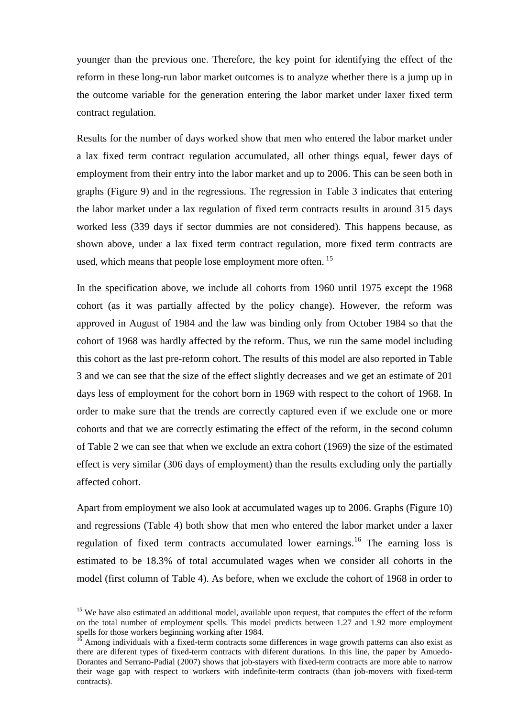younger than the previous one. Therefore, the key point for identifying the effect of the reform in these long-run labor market outcomes is to analyze whether there is a jump up in the outcome variable for the generation entering the labor market under laxer fixed term contract regulation.

Results for the number of days worked show that men who entered the labor market under a lax fixed term contract regulation accumulated, all other things equal, fewer days of employment from their entry into the labor market and up to 2006. This can be seen both in graphs (Figure 9) and in the regressions. The regression in Table 3 indicates that entering the labor market under a lax regulation of fixed term contracts results in around 315 days worked less (339 days if sector dummies are not considered). This happens because, as shown above, under a lax fixed term contract regulation, more fixed term contracts are used, which means that people lose employment more often.<sup>15</sup>

In the specification above, we include all cohorts from 1960 until 1975 except the 1968 cohort (as it was partially affected by the policy change). However, the reform was approved in August of 1984 and the law was binding only from October 1984 so that the cohort of 1968 was hardly affected by the reform. Thus, we run the same model including this cohort as the last pre-reform cohort. The results of this model are also reported in Table 3 and we can see that the size of the effect slightly decreases and we get an estimate of 201 days less of employment for the cohort born in 1969 with respect to the cohort of 1968. In order to make sure that the trends are correctly captured even if we exclude one or more cohorts and that we are correctly estimating the effect of the reform, in the second column of Table 2 we can see that when we exclude an extra cohort (1969) the size of the estimated effect is very similar (306 days of employment) than the results excluding only the partially affected cohort.

Apart from employment we also look at accumulated wages up to 2006. Graphs (Figure 10) and regressions (Table 4) both show that men who entered the labor market under a laxer regulation of fixed term contracts accumulated lower earnings.<sup>16</sup> The earning loss is estimated to be 18.3% of total accumulated wages when we consider all cohorts in the model (first column of Table 4). As before, when we exclude the cohort of 1968 in order to

<sup>&</sup>lt;sup>15</sup> We have also estimated an additional model, available upon request, that computes the effect of the reform on the total number of employment spells. This model predicts between 1.27 and 1.92 more employment spells for those workers beginning working after 1984.

Among individuals with a fixed-term contracts some differences in wage growth patterns can also exist as there are diferent types of fixed-term contracts with diferent durations. In this line, the paper by Amuedo-Dorantes and Serrano-Padial (2007) shows that job-stayers with fixed-term contracts are more able to narrow their wage gap with respect to workers with indefinite-term contracts (than job-movers with fixed-term contracts).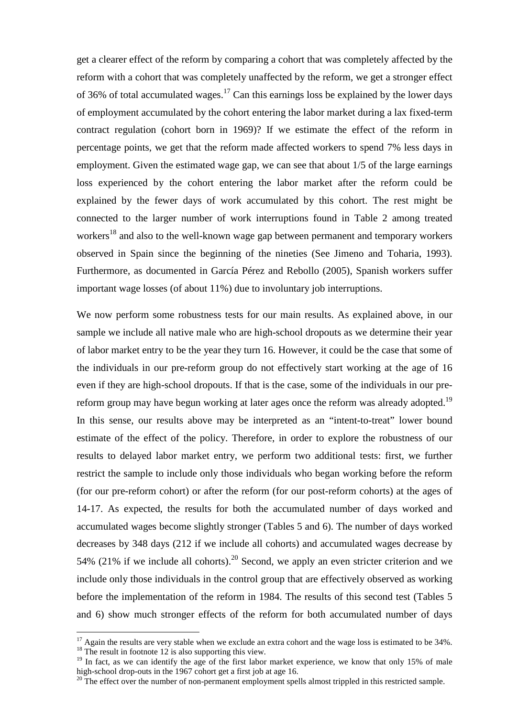get a clearer effect of the reform by comparing a cohort that was completely affected by the reform with a cohort that was completely unaffected by the reform, we get a stronger effect of 36% of total accumulated wages.<sup>17</sup> Can this earnings loss be explained by the lower days of employment accumulated by the cohort entering the labor market during a lax fixed-term contract regulation (cohort born in 1969)? If we estimate the effect of the reform in percentage points, we get that the reform made affected workers to spend 7% less days in employment. Given the estimated wage gap, we can see that about 1/5 of the large earnings loss experienced by the cohort entering the labor market after the reform could be explained by the fewer days of work accumulated by this cohort. The rest might be connected to the larger number of work interruptions found in Table 2 among treated workers<sup>18</sup> and also to the well-known wage gap between permanent and temporary workers observed in Spain since the beginning of the nineties (See Jimeno and Toharia, 1993). Furthermore, as documented in García Pérez and Rebollo (2005), Spanish workers suffer important wage losses (of about 11%) due to involuntary job interruptions.

We now perform some robustness tests for our main results. As explained above, in our sample we include all native male who are high-school dropouts as we determine their year of labor market entry to be the year they turn 16. However, it could be the case that some of the individuals in our pre-reform group do not effectively start working at the age of 16 even if they are high-school dropouts. If that is the case, some of the individuals in our prereform group may have begun working at later ages once the reform was already adopted.<sup>19</sup> In this sense, our results above may be interpreted as an "intent-to-treat" lower bound estimate of the effect of the policy. Therefore, in order to explore the robustness of our results to delayed labor market entry, we perform two additional tests: first, we further restrict the sample to include only those individuals who began working before the reform (for our pre-reform cohort) or after the reform (for our post-reform cohorts) at the ages of 14-17. As expected, the results for both the accumulated number of days worked and accumulated wages become slightly stronger (Tables 5 and 6). The number of days worked decreases by 348 days (212 if we include all cohorts) and accumulated wages decrease by 54% (21% if we include all cohorts).<sup>20</sup> Second, we apply an even stricter criterion and we include only those individuals in the control group that are effectively observed as working before the implementation of the reform in 1984. The results of this second test (Tables 5 and 6) show much stronger effects of the reform for both accumulated number of days

 $17$  Again the results are very stable when we exclude an extra cohort and the wage loss is estimated to be 34%.  $18$ <sup>18</sup> The result in footnote 12 is also supporting this view.

<sup>&</sup>lt;sup>19</sup> In fact, as we can identify the age of the first labor market experience, we know that only 15% of male high-school drop-outs in the 1967 cohort get a first job at age 16.

<sup>&</sup>lt;sup>20</sup> The effect over the number of non-permanent employment spells almost trippled in this restricted sample.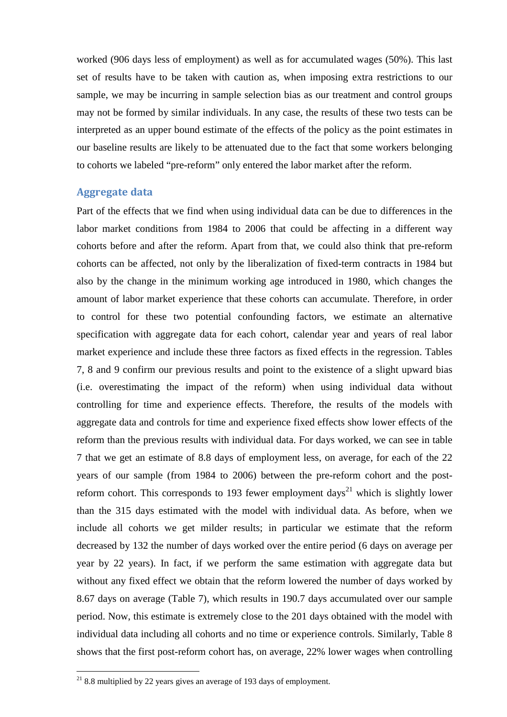worked (906 days less of employment) as well as for accumulated wages (50%). This last set of results have to be taken with caution as, when imposing extra restrictions to our sample, we may be incurring in sample selection bias as our treatment and control groups may not be formed by similar individuals. In any case, the results of these two tests can be interpreted as an upper bound estimate of the effects of the policy as the point estimates in our baseline results are likely to be attenuated due to the fact that some workers belonging to cohorts we labeled "pre-reform" only entered the labor market after the reform.

#### **Aggregate data**

Part of the effects that we find when using individual data can be due to differences in the labor market conditions from 1984 to 2006 that could be affecting in a different way cohorts before and after the reform. Apart from that, we could also think that pre-reform cohorts can be affected, not only by the liberalization of fixed-term contracts in 1984 but also by the change in the minimum working age introduced in 1980, which changes the amount of labor market experience that these cohorts can accumulate. Therefore, in order to control for these two potential confounding factors, we estimate an alternative specification with aggregate data for each cohort, calendar year and years of real labor market experience and include these three factors as fixed effects in the regression. Tables 7, 8 and 9 confirm our previous results and point to the existence of a slight upward bias (i.e. overestimating the impact of the reform) when using individual data without controlling for time and experience effects. Therefore, the results of the models with aggregate data and controls for time and experience fixed effects show lower effects of the reform than the previous results with individual data. For days worked, we can see in table 7 that we get an estimate of 8.8 days of employment less, on average, for each of the 22 years of our sample (from 1984 to 2006) between the pre-reform cohort and the postreform cohort. This corresponds to 193 fewer employment days<sup>21</sup> which is slightly lower than the 315 days estimated with the model with individual data. As before, when we include all cohorts we get milder results; in particular we estimate that the reform decreased by 132 the number of days worked over the entire period (6 days on average per year by 22 years). In fact, if we perform the same estimation with aggregate data but without any fixed effect we obtain that the reform lowered the number of days worked by 8.67 days on average (Table 7), which results in 190.7 days accumulated over our sample period. Now, this estimate is extremely close to the 201 days obtained with the model with individual data including all cohorts and no time or experience controls. Similarly, Table 8 shows that the first post-reform cohort has, on average, 22% lower wages when controlling

 $21$  8.8 multiplied by 22 years gives an average of 193 days of employment.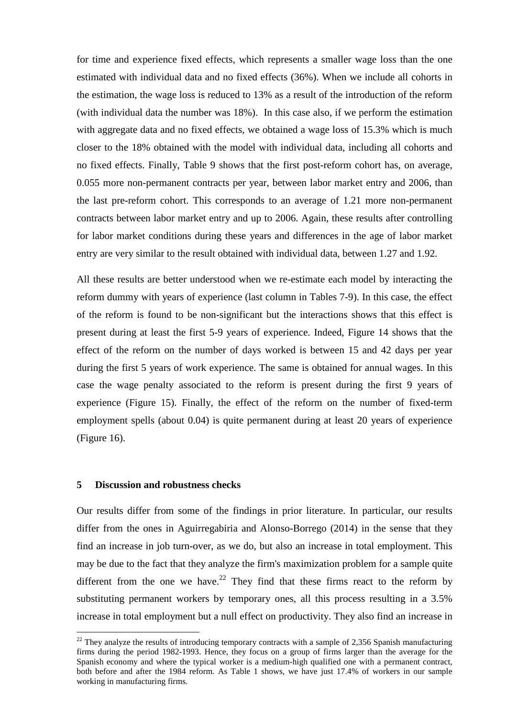for time and experience fixed effects, which represents a smaller wage loss than the one estimated with individual data and no fixed effects (36%). When we include all cohorts in the estimation, the wage loss is reduced to 13% as a result of the introduction of the reform (with individual data the number was 18%). In this case also, if we perform the estimation with aggregate data and no fixed effects, we obtained a wage loss of 15.3% which is much closer to the 18% obtained with the model with individual data, including all cohorts and no fixed effects. Finally, Table 9 shows that the first post-reform cohort has, on average, 0.055 more non-permanent contracts per year, between labor market entry and 2006, than the last pre-reform cohort. This corresponds to an average of 1.21 more non-permanent contracts between labor market entry and up to 2006. Again, these results after controlling for labor market conditions during these years and differences in the age of labor market entry are very similar to the result obtained with individual data, between 1.27 and 1.92.

All these results are better understood when we re-estimate each model by interacting the reform dummy with years of experience (last column in Tables 7-9). In this case, the effect of the reform is found to be non-significant but the interactions shows that this effect is present during at least the first 5-9 years of experience. Indeed, Figure 14 shows that the effect of the reform on the number of days worked is between 15 and 42 days per year during the first 5 years of work experience. The same is obtained for annual wages. In this case the wage penalty associated to the reform is present during the first 9 years of experience (Figure 15). Finally, the effect of the reform on the number of fixed-term employment spells (about 0.04) is quite permanent during at least 20 years of experience (Figure 16).

#### **5 Discussion and robustness checks**

 $\overline{a}$ 

Our results differ from some of the findings in prior literature. In particular, our results differ from the ones in Aguirregabiria and Alonso-Borrego (2014) in the sense that they find an increase in job turn-over, as we do, but also an increase in total employment. This may be due to the fact that they analyze the firm's maximization problem for a sample quite different from the one we have.<sup>22</sup> They find that these firms react to the reform by substituting permanent workers by temporary ones, all this process resulting in a 3.5% increase in total employment but a null effect on productivity. They also find an increase in

 $22$  They analyze the results of introducing temporary contracts with a sample of 2,356 Spanish manufacturing firms during the period 1982-1993. Hence, they focus on a group of firms larger than the average for the Spanish economy and where the typical worker is a medium-high qualified one with a permanent contract, both before and after the 1984 reform. As Table 1 shows, we have just 17.4% of workers in our sample working in manufacturing firms.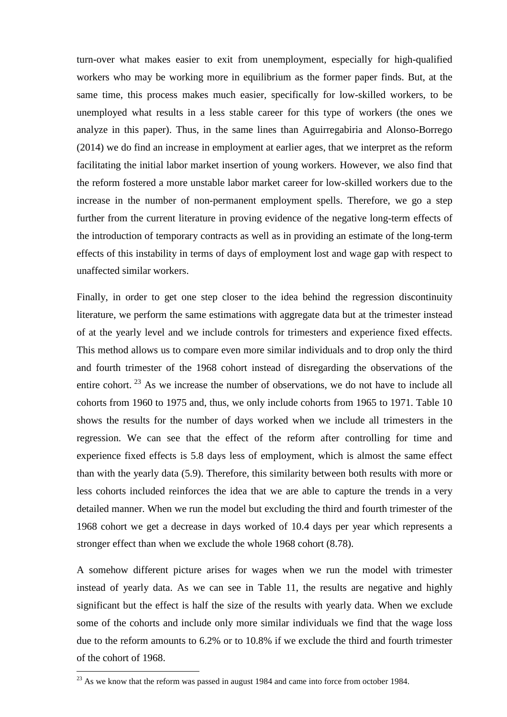turn-over what makes easier to exit from unemployment, especially for high-qualified workers who may be working more in equilibrium as the former paper finds. But, at the same time, this process makes much easier, specifically for low-skilled workers, to be unemployed what results in a less stable career for this type of workers (the ones we analyze in this paper). Thus, in the same lines than Aguirregabiria and Alonso-Borrego (2014) we do find an increase in employment at earlier ages, that we interpret as the reform facilitating the initial labor market insertion of young workers. However, we also find that the reform fostered a more unstable labor market career for low-skilled workers due to the increase in the number of non-permanent employment spells. Therefore, we go a step further from the current literature in proving evidence of the negative long-term effects of the introduction of temporary contracts as well as in providing an estimate of the long-term effects of this instability in terms of days of employment lost and wage gap with respect to unaffected similar workers.

Finally, in order to get one step closer to the idea behind the regression discontinuity literature, we perform the same estimations with aggregate data but at the trimester instead of at the yearly level and we include controls for trimesters and experience fixed effects. This method allows us to compare even more similar individuals and to drop only the third and fourth trimester of the 1968 cohort instead of disregarding the observations of the entire cohort.<sup>23</sup> As we increase the number of observations, we do not have to include all cohorts from 1960 to 1975 and, thus, we only include cohorts from 1965 to 1971. Table 10 shows the results for the number of days worked when we include all trimesters in the regression. We can see that the effect of the reform after controlling for time and experience fixed effects is 5.8 days less of employment, which is almost the same effect than with the yearly data (5.9). Therefore, this similarity between both results with more or less cohorts included reinforces the idea that we are able to capture the trends in a very detailed manner. When we run the model but excluding the third and fourth trimester of the 1968 cohort we get a decrease in days worked of 10.4 days per year which represents a stronger effect than when we exclude the whole 1968 cohort (8.78).

A somehow different picture arises for wages when we run the model with trimester instead of yearly data. As we can see in Table 11, the results are negative and highly significant but the effect is half the size of the results with yearly data. When we exclude some of the cohorts and include only more similar individuals we find that the wage loss due to the reform amounts to 6.2% or to 10.8% if we exclude the third and fourth trimester of the cohort of 1968.

 $^{23}$  As we know that the reform was passed in august 1984 and came into force from october 1984.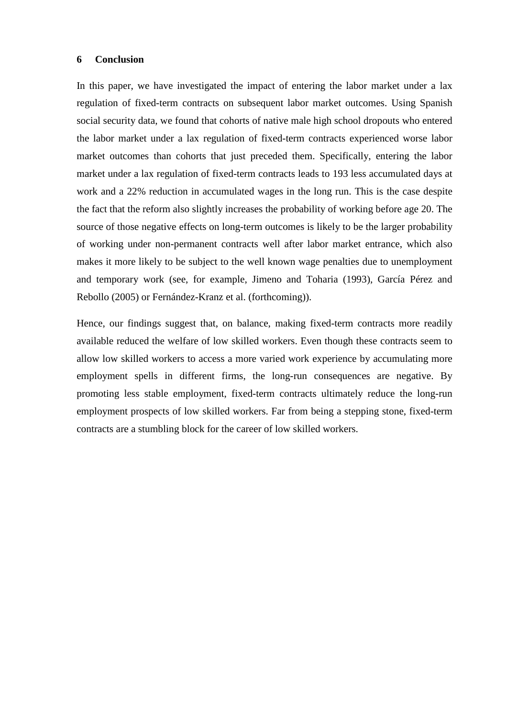#### **6 Conclusion**

In this paper, we have investigated the impact of entering the labor market under a lax regulation of fixed-term contracts on subsequent labor market outcomes. Using Spanish social security data, we found that cohorts of native male high school dropouts who entered the labor market under a lax regulation of fixed-term contracts experienced worse labor market outcomes than cohorts that just preceded them. Specifically, entering the labor market under a lax regulation of fixed-term contracts leads to 193 less accumulated days at work and a 22% reduction in accumulated wages in the long run. This is the case despite the fact that the reform also slightly increases the probability of working before age 20. The source of those negative effects on long-term outcomes is likely to be the larger probability of working under non-permanent contracts well after labor market entrance, which also makes it more likely to be subject to the well known wage penalties due to unemployment and temporary work (see, for example, Jimeno and Toharia (1993), García Pérez and Rebollo (2005) or Fernández-Kranz et al. (forthcoming)).

Hence, our findings suggest that, on balance, making fixed-term contracts more readily available reduced the welfare of low skilled workers. Even though these contracts seem to allow low skilled workers to access a more varied work experience by accumulating more employment spells in different firms, the long-run consequences are negative. By promoting less stable employment, fixed-term contracts ultimately reduce the long-run employment prospects of low skilled workers. Far from being a stepping stone, fixed-term contracts are a stumbling block for the career of low skilled workers.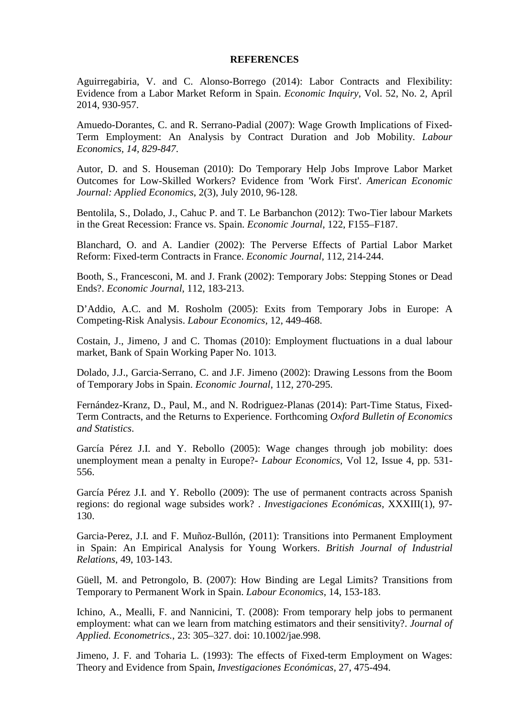#### **REFERENCES**

Aguirregabiria, V. and C. Alonso-Borrego (2014): Labor Contracts and Flexibility: Evidence from a Labor Market Reform in Spain. *Economic Inquiry*, Vol. 52, No. 2, April 2014, 930-957.

Amuedo-Dorantes, C. and R. Serrano-Padial (2007): Wage Growth Implications of Fixed-Term Employment: An Analysis by Contract Duration and Job Mobility. *Labour Economics, 14, 829-847*.

Autor, D. and S. Houseman (2010): Do Temporary Help Jobs Improve Labor Market Outcomes for Low-Skilled Workers? Evidence from 'Work First'. *American Economic Journal: Applied Economics*, 2(3), July 2010, 96-128.

Bentolila, S., Dolado, J., Cahuc P. and T. Le Barbanchon (2012): Two-Tier labour Markets in the Great Recession: France vs. Spain. *Economic Journal*, 122, F155–F187.

Blanchard, O. and A. Landier (2002): The Perverse Effects of Partial Labor Market Reform: Fixed-term Contracts in France. *Economic Journal*, 112, 214-244.

Booth, S., Francesconi, M. and J. Frank (2002): Temporary Jobs: Stepping Stones or Dead Ends?. *Economic Journal*, 112, 183-213.

D'Addio, A.C. and M. Rosholm (2005): Exits from Temporary Jobs in Europe: A Competing-Risk Analysis. *Labour Economics*, 12, 449-468.

Costain, J., Jimeno, J and C. Thomas (2010): Employment fluctuations in a dual labour market, Bank of Spain Working Paper No. 1013.

Dolado, J.J., Garcia-Serrano, C. and J.F. Jimeno (2002): Drawing Lessons from the Boom of Temporary Jobs in Spain. *Economic Journal*, 112, 270-295.

Fernández-Kranz, D., Paul, M., and N. Rodriguez-Planas (2014): Part-Time Status, Fixed-Term Contracts, and the Returns to Experience. Forthcoming *Oxford Bulletin of Economics and Statistics*.

García Pérez J.I. and Y. Rebollo (2005): Wage changes through job mobility: does unemployment mean a penalty in Europe?- *Labour Economics*, Vol 12, Issue 4, pp. 531- 556.

García Pérez J.I. and Y. Rebollo (2009): The use of permanent contracts across Spanish regions: do regional wage subsides work? . *Investigaciones Económicas*, XXXIII(1), 97- 130.

Garcia-Perez, J.I. and F. Muñoz-Bullón, (2011): Transitions into Permanent Employment in Spain: An Empirical Analysis for Young Workers. *British Journal of Industrial Relations*, 49, 103-143.

Güell, M. and Petrongolo, B. (2007): How Binding are Legal Limits? Transitions from Temporary to Permanent Work in Spain. *Labour Economics*, 14, 153-183.

Ichino, A., Mealli, F. and Nannicini, T. (2008): From temporary help jobs to permanent employment: what can we learn from matching estimators and their sensitivity?. *Journal of Applied. Econometrics.*, 23: 305–327. doi: 10.1002/jae.998.

Jimeno, J. F. and Toharia L. (1993): The effects of Fixed-term Employment on Wages: Theory and Evidence from Spain, *Investigaciones Económicas*, 27, 475-494.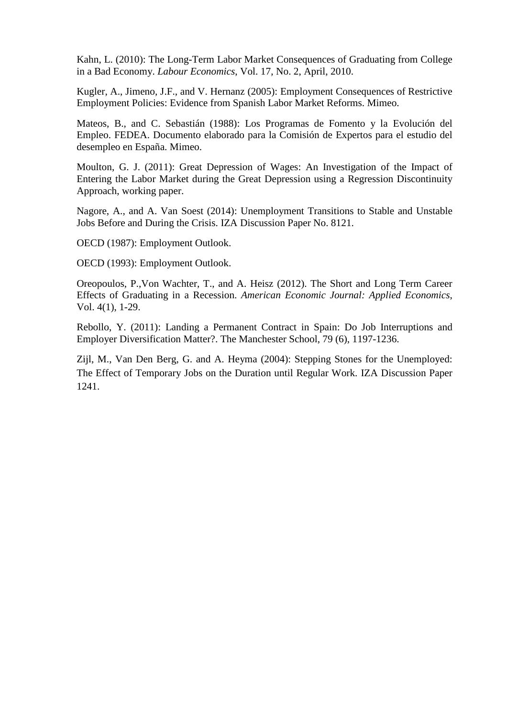Kahn, L. (2010): The Long-Term Labor Market Consequences of Graduating from College in a Bad Economy. *Labour Economics*, Vol. 17, No. 2, April, 2010.

Kugler, A., Jimeno, J.F., and V. Hernanz (2005): Employment Consequences of Restrictive Employment Policies: Evidence from Spanish Labor Market Reforms. Mimeo.

Mateos, B., and C. Sebastián (1988): Los Programas de Fomento y la Evolución del Empleo. FEDEA. Documento elaborado para la Comisión de Expertos para el estudio del desempleo en España. Mimeo.

Moulton, G. J. (2011): Great Depression of Wages: An Investigation of the Impact of Entering the Labor Market during the Great Depression using a Regression Discontinuity Approach, working paper.

Nagore, A., and A. Van Soest (2014): Unemployment Transitions to Stable and Unstable Jobs Before and During the Crisis. IZA Discussion Paper No. 8121.

OECD (1987): Employment Outlook.

OECD (1993): Employment Outlook.

Oreopoulos, P.,Von Wachter, T., and A. Heisz (2012). The Short and Long Term Career Effects of Graduating in a Recession. *American Economic Journal: Applied Economics*, Vol. 4(1), 1-29.

Rebollo, Y. (2011): Landing a Permanent Contract in Spain: Do Job Interruptions and Employer Diversification Matter?. The Manchester School, 79 (6), 1197-1236.

Zijl, M., Van Den Berg, G. and A. Heyma (2004): Stepping Stones for the Unemployed: The Effect of Temporary Jobs on the Duration until Regular Work. IZA Discussion Paper 1241.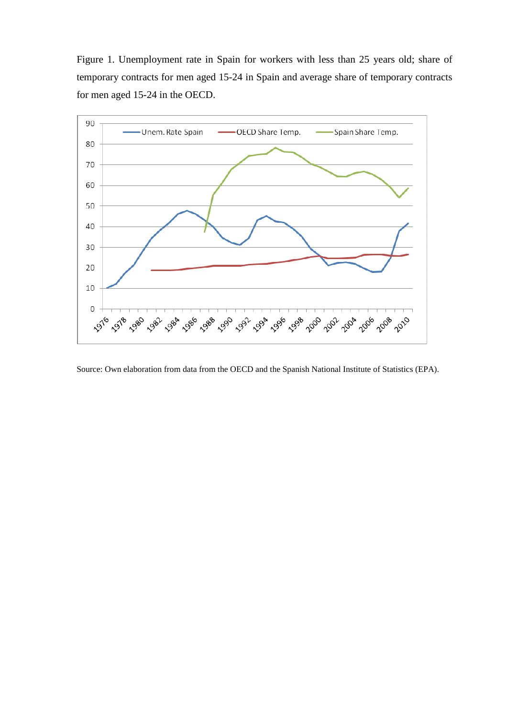Figure 1. Unemployment rate in Spain for workers with less than 25 years old; share of temporary contracts for men aged 15-24 in Spain and average share of temporary contracts for men aged 15-24 in the OECD.



Source: Own elaboration from data from the OECD and the Spanish National Institute of Statistics (EPA).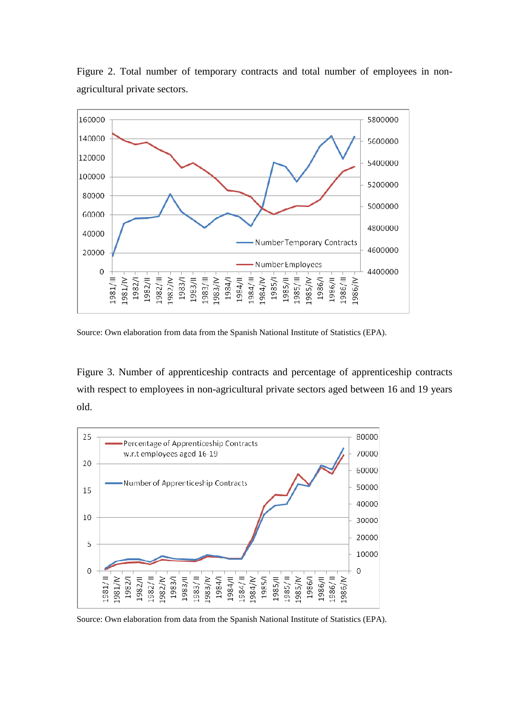

Figure 2. Total number of temporary contracts and total number of employees in nonagricultural private sectors.

Source: Own elaboration from data from the Spanish National Institute of Statistics (EPA).

Figure 3. Number of apprenticeship contracts and percentage of apprenticeship contracts with respect to employees in non-agricultural private sectors aged between 16 and 19 years old.



Source: Own elaboration from data from the Spanish National Institute of Statistics (EPA).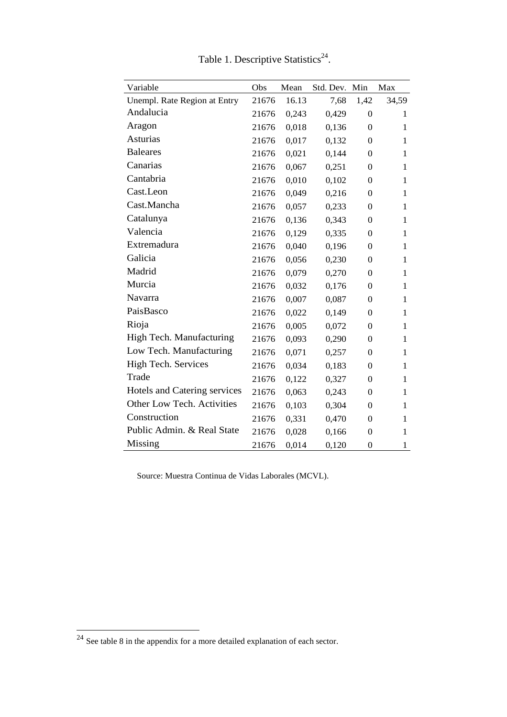| Variable                     | Obs   | Mean  | Std. Dev. | Min              | Max          |
|------------------------------|-------|-------|-----------|------------------|--------------|
| Unempl. Rate Region at Entry | 21676 | 16.13 | 7,68      | 1,42             | 34,59        |
| Andalucia                    | 21676 | 0,243 | 0,429     | $\theta$         | 1            |
| Aragon                       | 21676 | 0,018 | 0,136     | $\boldsymbol{0}$ | $\mathbf{1}$ |
| <b>Asturias</b>              | 21676 | 0,017 | 0,132     | $\boldsymbol{0}$ | 1            |
| <b>Baleares</b>              | 21676 | 0,021 | 0,144     | $\theta$         | 1            |
| Canarias                     | 21676 | 0,067 | 0,251     | $\theta$         | 1            |
| Cantabria                    | 21676 | 0,010 | 0,102     | $\Omega$         | 1            |
| Cast.Leon                    | 21676 | 0,049 | 0,216     | $\theta$         | 1            |
| Cast.Mancha                  | 21676 | 0,057 | 0,233     | $\boldsymbol{0}$ | 1            |
| Catalunya                    | 21676 | 0,136 | 0,343     | $\boldsymbol{0}$ | 1            |
| Valencia                     | 21676 | 0,129 | 0,335     | $\theta$         | 1            |
| Extremadura                  | 21676 | 0,040 | 0,196     | $\boldsymbol{0}$ | 1            |
| Galicia                      | 21676 | 0,056 | 0,230     | $\Omega$         | 1            |
| Madrid                       | 21676 | 0,079 | 0,270     | $\theta$         | 1            |
| Murcia                       | 21676 | 0,032 | 0,176     | $\boldsymbol{0}$ | 1            |
| Navarra                      | 21676 | 0,007 | 0,087     | $\boldsymbol{0}$ | 1            |
| PaisBasco                    | 21676 | 0,022 | 0,149     | $\theta$         | 1            |
| Rioja                        | 21676 | 0,005 | 0,072     | $\theta$         | 1            |
| High Tech. Manufacturing     | 21676 | 0,093 | 0,290     | $\Omega$         | 1            |
| Low Tech. Manufacturing      | 21676 | 0,071 | 0,257     | $\theta$         | 1            |
| <b>High Tech. Services</b>   | 21676 | 0,034 | 0,183     | $\boldsymbol{0}$ | 1            |
| Trade                        | 21676 | 0,122 | 0,327     | $\boldsymbol{0}$ | 1            |
| Hotels and Catering services | 21676 | 0,063 | 0,243     | $\theta$         | 1            |
| Other Low Tech. Activities   | 21676 | 0,103 | 0,304     | $\boldsymbol{0}$ | 1            |
| Construction                 | 21676 | 0,331 | 0,470     | $\overline{0}$   | 1            |
| Public Admin. & Real State   | 21676 | 0,028 | 0,166     | $\boldsymbol{0}$ | 1            |
| Missing                      | 21676 | 0,014 | 0,120     | $\overline{0}$   | $\mathbf{1}$ |

Table 1. Descriptive Statistics<sup>24</sup>.

Source: Muestra Continua de Vidas Laborales (MCVL).

 $2<sup>24</sup>$  See table 8 in the appendix for a more detailed explanation of each sector.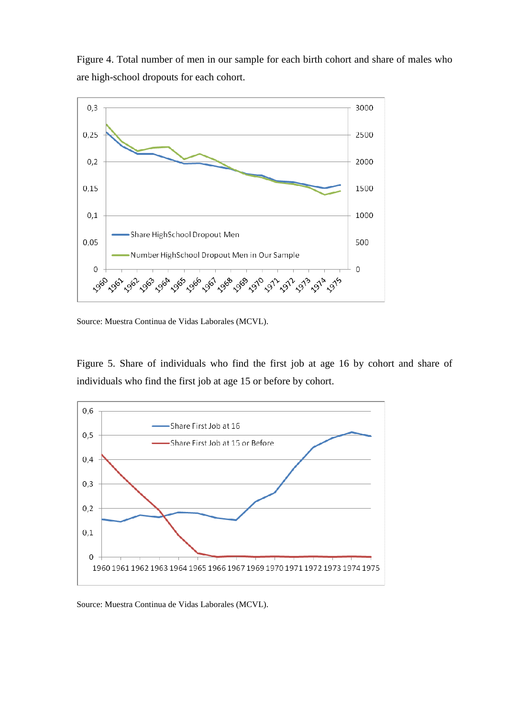Figure 4. Total number of men in our sample for each birth cohort and share of males who are high-school dropouts for each cohort.



Source: Muestra Continua de Vidas Laborales (MCVL).

Figure 5. Share of individuals who find the first job at age 16 by cohort and share of individuals who find the first job at age 15 or before by cohort.



Source: Muestra Continua de Vidas Laborales (MCVL).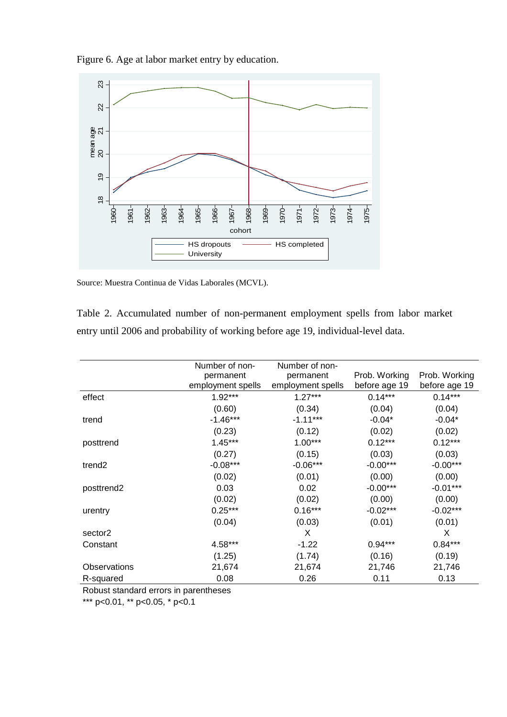Figure 6. Age at labor market entry by education.



Source: Muestra Continua de Vidas Laborales (MCVL).

Table 2. Accumulated number of non-permanent employment spells from labor market entry until 2006 and probability of working before age 19, individual-level data.

|                     | Number of non-<br>permanent<br>employment spells | Number of non-<br>permanent<br>employment spells | Prob. Working<br>before age 19 | Prob. Working<br>before age 19 |
|---------------------|--------------------------------------------------|--------------------------------------------------|--------------------------------|--------------------------------|
| effect              | $1.92***$                                        | $1.27***$                                        | $0.14***$                      | $0.14***$                      |
|                     | (0.60)                                           | (0.34)                                           | (0.04)                         | (0.04)                         |
| trend               | $-1.46***$                                       | $-1.11***$                                       | $-0.04*$                       | $-0.04*$                       |
|                     | (0.23)                                           | (0.12)                                           | (0.02)                         | (0.02)                         |
| posttrend           | $1.45***$                                        | $1.00***$                                        | $0.12***$                      | $0.12***$                      |
|                     | (0.27)                                           | (0.15)                                           | (0.03)                         | (0.03)                         |
| trend <sub>2</sub>  | $-0.08***$                                       | $-0.06***$                                       | $-0.00***$                     | $-0.00***$                     |
|                     | (0.02)                                           | (0.01)                                           | (0.00)                         | (0.00)                         |
| posttrend2          | 0.03                                             | 0.02                                             | $-0.00***$                     | $-0.01***$                     |
|                     | (0.02)                                           | (0.02)                                           | (0.00)                         | (0.00)                         |
| urentry             | $0.25***$                                        | $0.16***$                                        | $-0.02***$                     | $-0.02***$                     |
|                     | (0.04)                                           | (0.03)                                           | (0.01)                         | (0.01)                         |
| sector <sub>2</sub> |                                                  | X                                                |                                | X                              |
| Constant            | 4.58***                                          | $-1.22$                                          | $0.94***$                      | $0.84***$                      |
|                     | (1.25)                                           | (1.74)                                           | (0.16)                         | (0.19)                         |
| <b>Observations</b> | 21,674                                           | 21,674                                           | 21,746                         | 21,746                         |
| R-squared           | 0.08                                             | 0.26                                             | 0.11                           | 0.13                           |

Robust standard errors in parentheses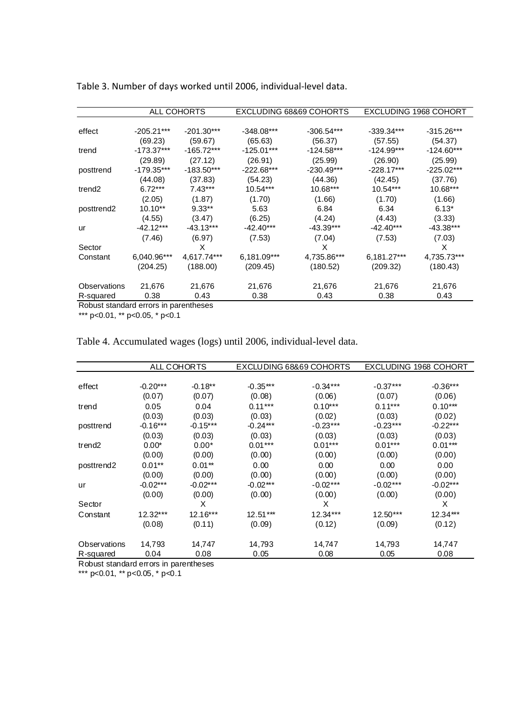|                        |                         | ALL COHORTS             |                         | EXCLUDING 68&69 COHORTS |                         | EXCLUDING 1968 COHORT   |
|------------------------|-------------------------|-------------------------|-------------------------|-------------------------|-------------------------|-------------------------|
| effect                 | $-205.21***$            | $-201.30***$            | $-348.08***$            | $-306.54***$            | $-339.34***$            | $-315.26***$            |
| trend                  | (69.23)<br>$-173.37***$ | (59.67)<br>$-165.72***$ | (65.63)<br>$-125.01***$ | (56.37)<br>$-124.58***$ | (57.55)<br>$-124.99***$ | (54.37)<br>$-124.60***$ |
|                        | (29.89)                 | (27.12)                 | (26.91)                 | (25.99)                 | (26.90)                 | (25.99)                 |
| posttrend              | $-179.35***$            | $-183.50***$            | $-222.68***$            | $-230.49***$            | $-228.17***$            | $-225.02***$            |
|                        | (44.08)                 | (37.83)                 | (54.23)                 | (44.36)                 | (42.45)                 | (37.76)                 |
| trend <sub>2</sub>     | $6.72***$               | $7.43***$               | $10.54***$              | $10.68***$              | $10.54***$              | 10.68***                |
|                        | (2.05)                  | (1.87)                  | (1.70)                  | (1.66)                  | (1.70)                  | (1.66)                  |
| posttrend <sub>2</sub> | $10.10**$               | $9.33**$                | 5.63                    | 6.84                    | 6.34                    | $6.13*$                 |
|                        | (4.55)                  | (3.47)                  | (6.25)                  | (4.24)                  | (4.43)                  | (3.33)                  |
| ur                     | $-42.12***$             | $-43.13***$             | $-42.40***$             | $-43.39***$             | $-42.40***$             | -43.38***               |
|                        | (7.46)                  | (6.97)                  | (7.53)                  | (7.04)                  | (7.53)                  | (7.03)                  |
| Sector                 |                         | X                       |                         | X                       |                         | X                       |
| Constant               | 6,040.96***             | 4,617.74***             | 6,181.09***             | 4,735.86***             | 6,181.27***             | 4,735.73***             |
|                        | (204.25)                | (188.00)                | (209.45)                | (180.52)                | (209.32)                | (180.43)                |
| Observations           | 21,676                  | 21,676                  | 21,676                  | 21,676                  | 21,676                  | 21,676                  |
| R-squared              | 0.38                    | 0.43                    | 0.38                    | 0.43                    | 0.38                    | 0.43                    |

Table 3. Number of days worked until 2006, individual-level data.

Robust standard errors in parentheses

\*\*\* p<0.01, \*\* p<0.05, \* p<0.1

Table 4. Accumulated wages (logs) until 2006, individual-level data.

|                        |            | ALL COHORTS |            | EXCLUDING 68&69 COHORTS |            | EXCLUDING 1968 COHORT |
|------------------------|------------|-------------|------------|-------------------------|------------|-----------------------|
|                        |            |             |            |                         |            |                       |
| effect                 | $-0.20***$ | $-0.18**$   | $-0.35***$ | $-0.34***$              | $-0.37***$ | $-0.36***$            |
|                        | (0.07)     | (0.07)      | (0.08)     | (0.06)                  | (0.07)     | (0.06)                |
| trend                  | 0.05       | 0.04        | $0.11***$  | $0.10***$               | $0.11***$  | $0.10***$             |
|                        | (0.03)     | (0.03)      | (0.03)     | (0.02)                  | (0.03)     | (0.02)                |
| posttrend              | $-0.16***$ | $-0.15***$  | $-0.24***$ | $-0.23***$              | $-0.23***$ | $-0.22***$            |
|                        | (0.03)     | (0.03)      | (0.03)     | (0.03)                  | (0.03)     | (0.03)                |
| trend <sub>2</sub>     | $0.00*$    | $0.00*$     | $0.01***$  | $0.01***$               | $0.01***$  | $0.01***$             |
|                        | (0.00)     | (0.00)      | (0.00)     | (0.00)                  | (0.00)     | (0.00)                |
| posttrend <sub>2</sub> | $0.01**$   | $0.01**$    | 0.00       | 0.00                    | 0.00       | 0.00                  |
|                        | (0.00)     | (0.00)      | (0.00)     | (0.00)                  | (0.00)     | (0.00)                |
| ur                     | $-0.02***$ | $-0.02***$  | $-0.02***$ | $-0.02***$              | $-0.02***$ | $-0.02***$            |
|                        | (0.00)     | (0.00)      | (0.00)     | (0.00)                  | (0.00)     | (0.00)                |
| Sector                 |            | X           |            | X                       |            | X                     |
| Constant               | 12.32***   | 12.16***    | $12.51***$ | 12.34***                | $12.50***$ | $12.34***$            |
|                        | (0.08)     | (0.11)      | (0.09)     | (0.12)                  | (0.09)     | (0.12)                |
| Observations           | 14,793     | 14,747      | 14,793     | 14,747                  | 14,793     | 14,747                |
| R-squared              | 0.04       | 0.08        | 0.05       | 0.08                    | 0.05       | 0.08                  |

Robust standard errors in parentheses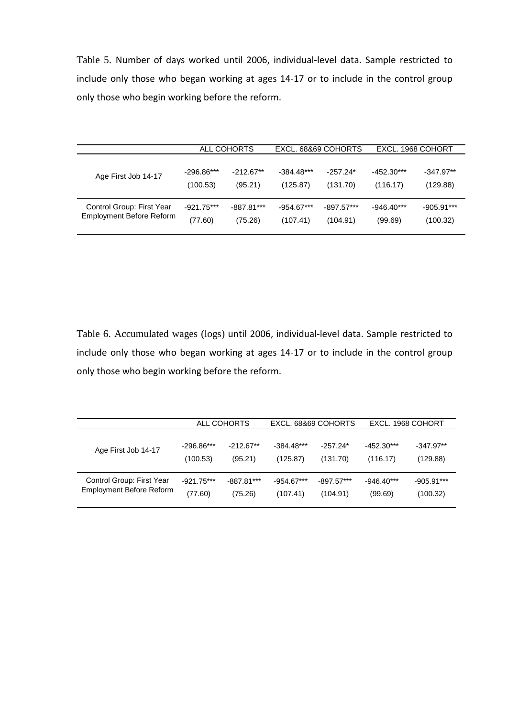Table 5. Number of days worked until 2006, individual-level data. Sample restricted to include only those who began working at ages 14-17 or to include in the control group only those who begin working before the reform.

|                                 |              | ALL COHORTS  | EXCL, 68&69 COHORTS |              | EXCL. 1968 COHORT |              |
|---------------------------------|--------------|--------------|---------------------|--------------|-------------------|--------------|
| Age First Job 14-17             | $-296.86***$ | $-212.67**$  | $-384.48***$        | $-257.24*$   | $-452.30***$      | $-347.97**$  |
|                                 | (100.53)     | (95.21)      | (125.87)            | (131.70)     | (116.17)          | (129.88)     |
| Control Group: First Year       | $-921.75***$ | $-887.81***$ | $-954.67***$        | $-897.57***$ | $-946.40***$      | $-905.91***$ |
| <b>Employment Before Reform</b> | (77.60)      | (75.26)      | (107.41)            | (104.91)     | (99.69)           | (100.32)     |

Table 6. Accumulated wages (logs) until 2006, individual-level data. Sample restricted to include only those who began working at ages 14-17 or to include in the control group only those who begin working before the reform.

|                           | ALL COHORTS  |              | EXCL, 68&69 COHORTS |              | EXCL, 1968 COHORT |              |
|---------------------------|--------------|--------------|---------------------|--------------|-------------------|--------------|
| Age First Job 14-17       | $-296.86***$ | $-212.67**$  | $-384.48***$        | $-257.24*$   | $-452.30***$      | $-347.97**$  |
|                           | (100.53)     | (95.21)      | (125.87)            | (131.70)     | (116.17)          | (129.88)     |
| Control Group: First Year | $-921.75***$ | $-887.81***$ | $-954.67***$        | $-897.57***$ | $-946.40***$      | $-905.91***$ |
| Employment Before Reform  | (77.60)      | (75.26)      | (107.41)            | (104.91)     | (99.69)           | (100.32)     |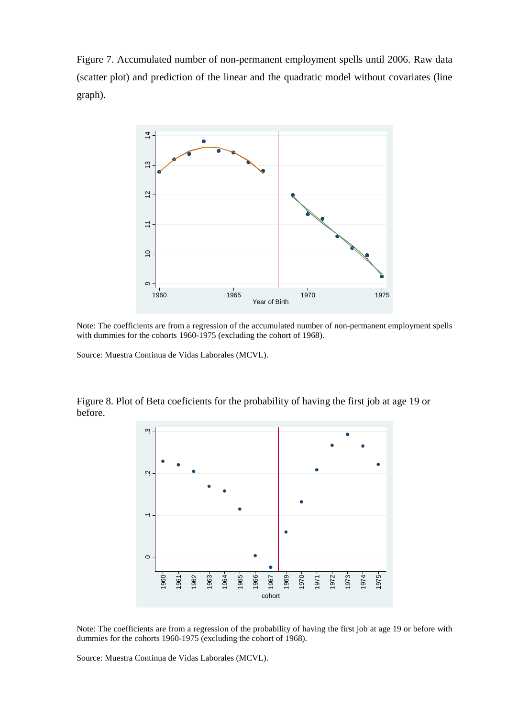Figure 7. Accumulated number of non-permanent employment spells until 2006. Raw data (scatter plot) and prediction of the linear and the quadratic model without covariates (line graph).



Note: The coefficients are from a regression of the accumulated number of non-permanent employment spells with dummies for the cohorts 1960-1975 (excluding the cohort of 1968).

Source: Muestra Continua de Vidas Laborales (MCVL).

Figure 8. Plot of Beta coeficients for the probability of having the first job at age 19 or before.



Note: The coefficients are from a regression of the probability of having the first job at age 19 or before with dummies for the cohorts 1960-1975 (excluding the cohort of 1968).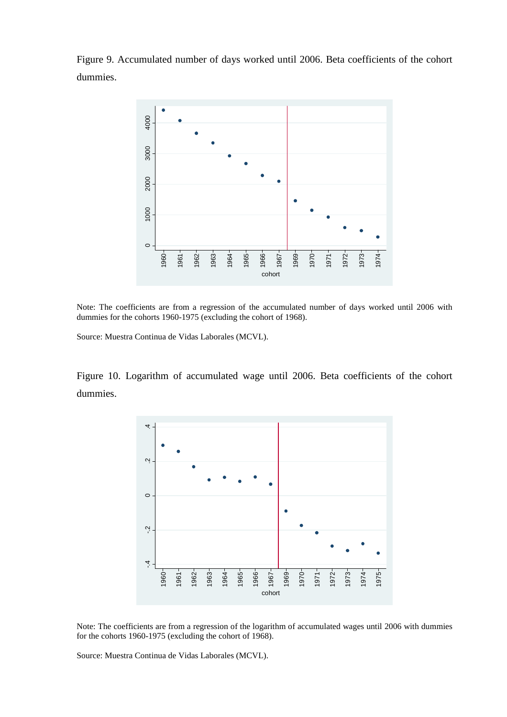Figure 9. Accumulated number of days worked until 2006. Beta coefficients of the cohort dummies.



Note: The coefficients are from a regression of the accumulated number of days worked until 2006 with dummies for the cohorts 1960-1975 (excluding the cohort of 1968).

Source: Muestra Continua de Vidas Laborales (MCVL).

Figure 10. Logarithm of accumulated wage until 2006. Beta coefficients of the cohort dummies.



Note: The coefficients are from a regression of the logarithm of accumulated wages until 2006 with dummies for the cohorts 1960-1975 (excluding the cohort of 1968).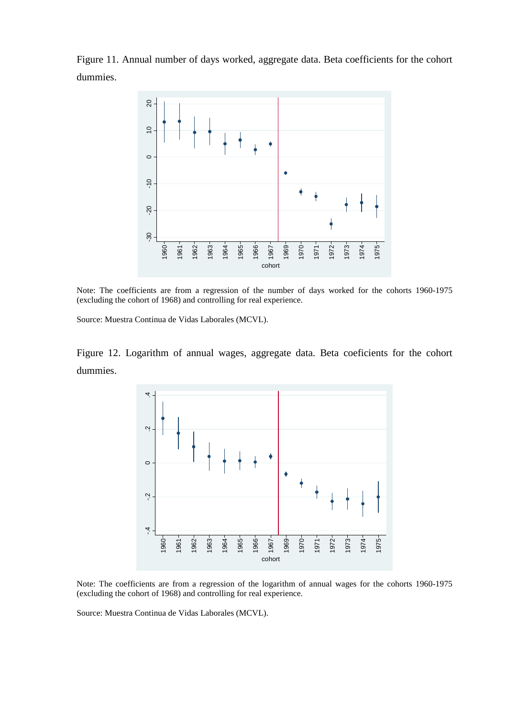Figure 11. Annual number of days worked, aggregate data. Beta coefficients for the cohort dummies.



Note: The coefficients are from a regression of the number of days worked for the cohorts 1960-1975 (excluding the cohort of 1968) and controlling for real experience.

Source: Muestra Continua de Vidas Laborales (MCVL).

Figure 12. Logarithm of annual wages, aggregate data. Beta coeficients for the cohort dummies.



Note: The coefficients are from a regression of the logarithm of annual wages for the cohorts 1960-1975 (excluding the cohort of 1968) and controlling for real experience.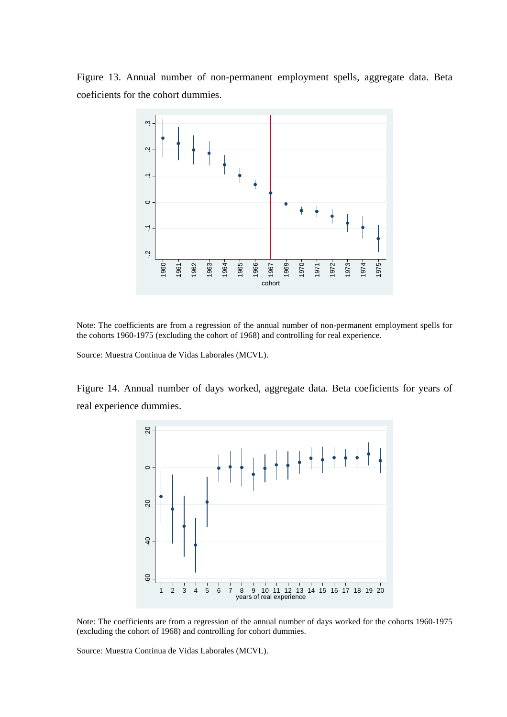Figure 13. Annual number of non-permanent employment spells, aggregate data. Beta coeficients for the cohort dummies.



Note: The coefficients are from a regression of the annual number of non-permanent employment spells for the cohorts 1960-1975 (excluding the cohort of 1968) and controlling for real experience.

Source: Muestra Continua de Vidas Laborales (MCVL).

Figure 14. Annual number of days worked, aggregate data. Beta coeficients for years of real experience dummies.



Note: The coefficients are from a regression of the annual number of days worked for the cohorts 1960-1975 (excluding the cohort of 1968) and controlling for cohort dummies.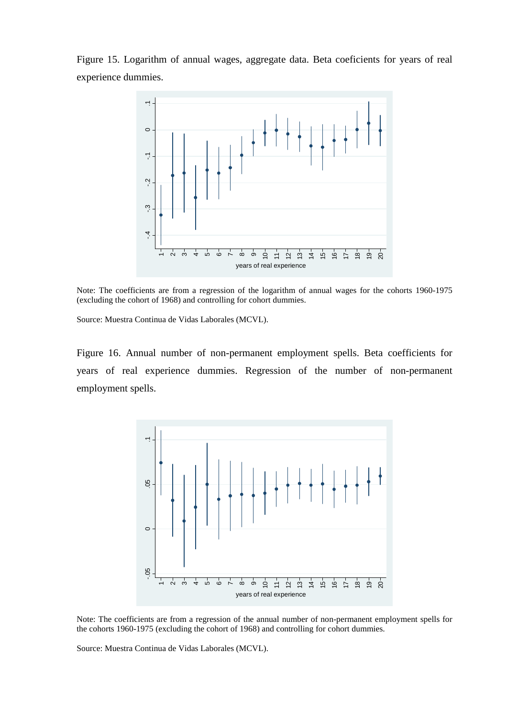Figure 15. Logarithm of annual wages, aggregate data. Beta coeficients for years of real experience dummies.



Note: The coefficients are from a regression of the logarithm of annual wages for the cohorts 1960-1975 (excluding the cohort of 1968) and controlling for cohort dummies.

Source: Muestra Continua de Vidas Laborales (MCVL).

Figure 16. Annual number of non-permanent employment spells. Beta coefficients for years of real experience dummies. Regression of the number of non-permanent employment spells.



Note: The coefficients are from a regression of the annual number of non-permanent employment spells for the cohorts 1960-1975 (excluding the cohort of 1968) and controlling for cohort dummies.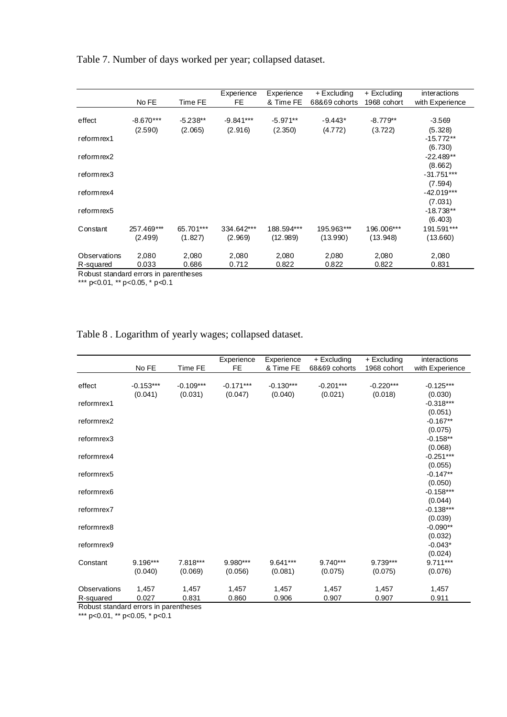Table 7. Number of days worked per year; collapsed dataset.

|              |             |            | Experience  | Experience | + Excluding   | + Excluding | interactions    |
|--------------|-------------|------------|-------------|------------|---------------|-------------|-----------------|
|              | No FE       | Time FE    | FE          | & Time FE  | 68&69 cohorts | 1968 cohort | with Experience |
|              |             |            |             |            |               |             |                 |
| effect       | $-8.670***$ | $-5.238**$ | $-9.841***$ | $-5.971**$ | $-9.443*$     | $-8.779**$  | $-3.569$        |
|              | (2.590)     | (2.065)    | (2.916)     | (2.350)    | (4.772)       | (3.722)     | (5.328)         |
| reform rex1  |             |            |             |            |               |             | $-15.772**$     |
|              |             |            |             |            |               |             | (6.730)         |
| reform rex2  |             |            |             |            |               |             | $-22.489**$     |
|              |             |            |             |            |               |             | (8.662)         |
| reform rex3  |             |            |             |            |               |             | $-31.751***$    |
|              |             |            |             |            |               |             | (7.594)         |
| reform rex4  |             |            |             |            |               |             | $-42.019***$    |
|              |             |            |             |            |               |             | (7.031)         |
| reform rex5  |             |            |             |            |               |             | $-18.738**$     |
|              |             |            |             |            |               |             | (6.403)         |
| Constant     | 257.469***  | 65.701***  | 334.642***  | 188.594*** | 195.963***    | 196.006***  | 191.591***      |
|              | (2.499)     | (1.827)    | (2.969)     | (12.989)   | (13.990)      | (13.948)    | (13.660)        |
|              |             |            |             |            |               |             |                 |
| Observations | 2,080       | 2,080      | 2,080       | 2,080      | 2,080         | 2,080       | 2,080           |
| R-squared    | 0.033       | 0.686      | 0.712       | 0.822      | 0.822         | 0.822       | 0.831           |
|              |             |            |             |            |               |             |                 |

Robust standard errors in parentheses

\*\*\* p<0.01, \*\* p<0.05, \* p<0.1

Table 8 . Logarithm of yearly wages; collapsed dataset.

|                                       | No FE       | Time FE     | Experience<br><b>FE</b> | Experience<br>& Time FE | + Excluding<br>68&69 cohorts | + Excluding<br>1968 cohort | interactions<br>with Experience |
|---------------------------------------|-------------|-------------|-------------------------|-------------------------|------------------------------|----------------------------|---------------------------------|
| effect                                | $-0.153***$ | $-0.109***$ | $-0.171***$             | $-0.130***$             | $-0.201***$                  | $-0.220***$                | $-0.125***$                     |
| reformrex1                            | (0.041)     | (0.031)     | (0.047)                 | (0.040)                 | (0.021)                      | (0.018)                    | (0.030)<br>$-0.318***$          |
|                                       |             |             |                         |                         |                              |                            | (0.051)                         |
| reformrex2                            |             |             |                         |                         |                              |                            | $-0.167**$                      |
|                                       |             |             |                         |                         |                              |                            | (0.075)                         |
| reformrex3                            |             |             |                         |                         |                              |                            | $-0.158**$                      |
|                                       |             |             |                         |                         |                              |                            | (0.068)                         |
| reformrex4                            |             |             |                         |                         |                              |                            | $-0.251***$                     |
| reformrex5                            |             |             |                         |                         |                              |                            | (0.055)<br>$-0.147**$           |
|                                       |             |             |                         |                         |                              |                            | (0.050)                         |
| reformrex6                            |             |             |                         |                         |                              |                            | $-0.158***$                     |
|                                       |             |             |                         |                         |                              |                            | (0.044)                         |
| reformrex7                            |             |             |                         |                         |                              |                            | $-0.138***$                     |
|                                       |             |             |                         |                         |                              |                            | (0.039)                         |
| reformrex8                            |             |             |                         |                         |                              |                            | $-0.090**$                      |
|                                       |             |             |                         |                         |                              |                            | (0.032)                         |
| reformrex9                            |             |             |                         |                         |                              |                            | $-0.043*$                       |
|                                       |             |             |                         |                         |                              |                            | (0.024)                         |
| Constant                              | 9.196***    | 7.818***    | 9.980***                | $9.641***$              | 9.740***                     | 9.739***                   | $9.711***$                      |
|                                       | (0.040)     | (0.069)     | (0.056)                 | (0.081)                 | (0.075)                      | (0.075)                    | (0.076)                         |
| Observations                          | 1,457       | 1,457       | 1,457                   | 1,457                   | 1,457                        | 1,457                      | 1,457                           |
| R-squared                             | 0.027       | 0.831       | 0.860                   | 0.906                   | 0.907                        | 0.907                      | 0.911                           |
| Robust standard errors in parentheses |             |             |                         |                         |                              |                            |                                 |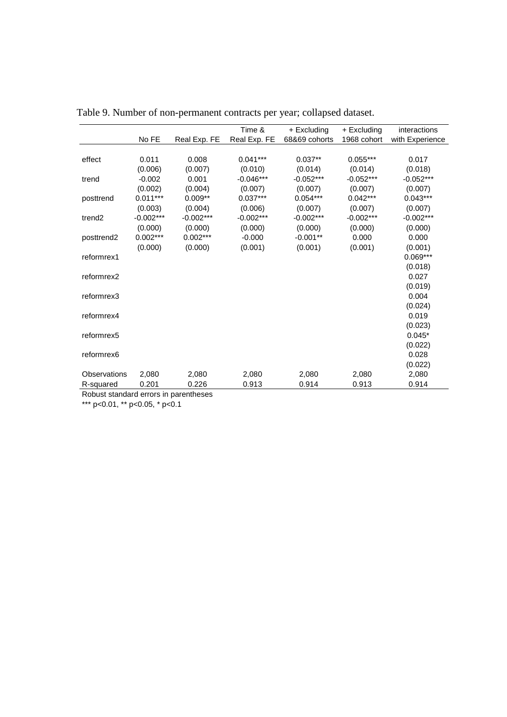|                        |             |              | Time &       | + Excluding   | + Excluding | interactions    |
|------------------------|-------------|--------------|--------------|---------------|-------------|-----------------|
|                        | No FE       | Real Exp. FE | Real Exp. FE | 68&69 cohorts | 1968 cohort | with Experience |
|                        |             |              |              |               |             |                 |
| effect                 | 0.011       | 0.008        | $0.041***$   | $0.037**$     | $0.055***$  | 0.017           |
|                        | (0.006)     | (0.007)      | (0.010)      | (0.014)       | (0.014)     | (0.018)         |
| trend                  | $-0.002$    | 0.001        | $-0.046***$  | $-0.052***$   | $-0.052***$ | $-0.052***$     |
|                        | (0.002)     | (0.004)      | (0.007)      | (0.007)       | (0.007)     | (0.007)         |
| posttrend              | $0.011***$  | $0.009**$    | $0.037***$   | $0.054***$    | $0.042***$  | $0.043***$      |
|                        | (0.003)     | (0.004)      | (0.006)      | (0.007)       | (0.007)     | (0.007)         |
| trend <sub>2</sub>     | $-0.002***$ | $-0.002***$  | $-0.002***$  | $-0.002***$   | $-0.002***$ | $-0.002***$     |
|                        | (0.000)     | (0.000)      | (0.000)      | (0.000)       | (0.000)     | (0.000)         |
| posttrend <sub>2</sub> | $0.002***$  | $0.002***$   | $-0.000$     | $-0.001**$    | 0.000       | 0.000           |
|                        | (0.000)     | (0.000)      | (0.001)      | (0.001)       | (0.001)     | (0.001)         |
| reformrex1             |             |              |              |               |             | 0.069***        |
|                        |             |              |              |               |             | (0.018)         |
| reformrex2             |             |              |              |               |             | 0.027           |
|                        |             |              |              |               |             | (0.019)         |
| reformrex3             |             |              |              |               |             | 0.004           |
|                        |             |              |              |               |             | (0.024)         |
| reformrex4             |             |              |              |               |             | 0.019           |
|                        |             |              |              |               |             | (0.023)         |
| reformrex5             |             |              |              |               |             | $0.045*$        |
|                        |             |              |              |               |             | (0.022)         |
| reformrex6             |             |              |              |               |             | 0.028           |
|                        |             |              |              |               |             | (0.022)         |
| Observations           | 2,080       | 2,080        | 2,080        | 2,080         | 2,080       | 2,080           |
| R-squared              | 0.201       | 0.226        | 0.913        | 0.914         | 0.913       | 0.914           |

Table 9. Number of non-permanent contracts per year; collapsed dataset.

Robust standard errors in parentheses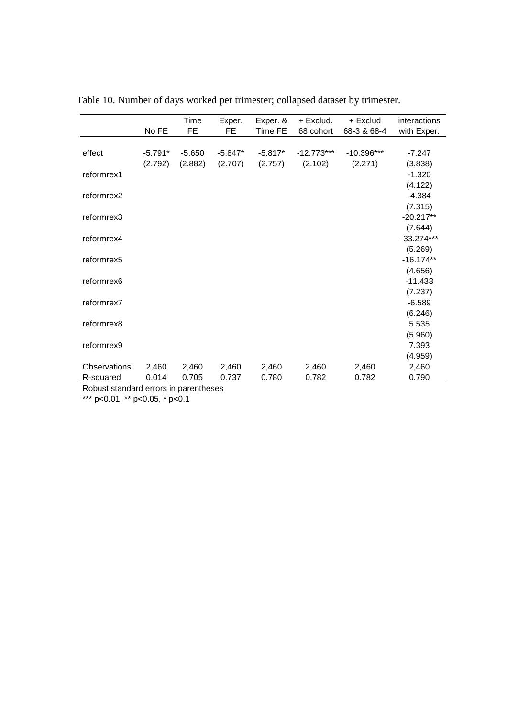|              |           | Time      | Exper.    | Exper. &  | + Exclud.    | + Exclud     | interactions |
|--------------|-----------|-----------|-----------|-----------|--------------|--------------|--------------|
|              | No FE     | <b>FE</b> | <b>FE</b> | Time FE   | 68 cohort    | 68-3 & 68-4  | with Exper.  |
|              |           |           |           |           |              |              |              |
| effect       | $-5.791*$ | $-5.650$  | $-5.847*$ | $-5.817*$ | $-12.773***$ | $-10.396***$ | $-7.247$     |
|              | (2.792)   | (2.882)   | (2.707)   | (2.757)   | (2.102)      | (2.271)      | (3.838)      |
| reformrex1   |           |           |           |           |              |              | $-1.320$     |
|              |           |           |           |           |              |              | (4.122)      |
| reformrex2   |           |           |           |           |              |              | $-4.384$     |
|              |           |           |           |           |              |              | (7.315)      |
| reformrex3   |           |           |           |           |              |              | $-20.217**$  |
|              |           |           |           |           |              |              | (7.644)      |
| reformrex4   |           |           |           |           |              |              | $-33.274***$ |
|              |           |           |           |           |              |              | (5.269)      |
| reformrex5   |           |           |           |           |              |              | $-16.174**$  |
|              |           |           |           |           |              |              | (4.656)      |
| reformrex6   |           |           |           |           |              |              | $-11.438$    |
|              |           |           |           |           |              |              | (7.237)      |
| reformrex7   |           |           |           |           |              |              | $-6.589$     |
|              |           |           |           |           |              |              | (6.246)      |
| reformrex8   |           |           |           |           |              |              | 5.535        |
|              |           |           |           |           |              |              | (5.960)      |
| reformrex9   |           |           |           |           |              |              | 7.393        |
|              |           |           |           |           |              |              | (4.959)      |
| Observations | 2,460     | 2,460     | 2,460     | 2,460     | 2,460        | 2,460        | 2,460        |
| R-squared    | 0.014     | 0.705     | 0.737     | 0.780     | 0.782        | 0.782        | 0.790        |

Table 10. Number of days worked per trimester; collapsed dataset by trimester.

Robust standard errors in parentheses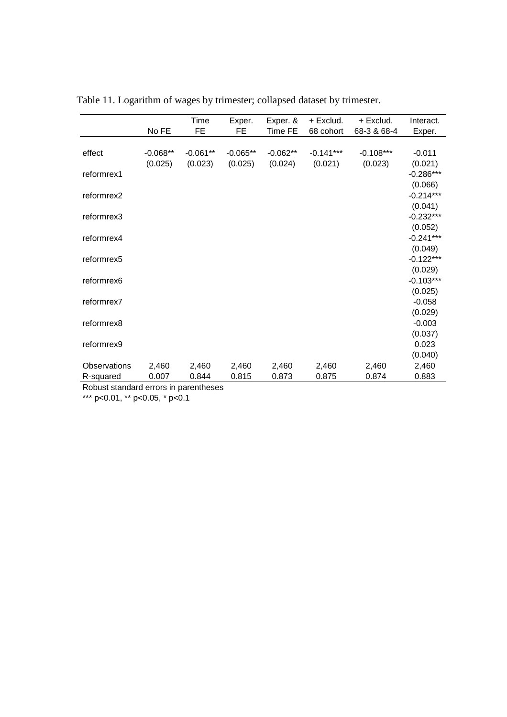|              |            | Time       | Exper.     | Exper. &   | + Exclud.   | + Exclud.   | Interact.   |
|--------------|------------|------------|------------|------------|-------------|-------------|-------------|
|              | No FE      | <b>FE</b>  | <b>FE</b>  | Time FE    | 68 cohort   | 68-3 & 68-4 | Exper.      |
|              |            |            |            |            |             |             |             |
| effect       | $-0.068**$ | $-0.061**$ | $-0.065**$ | $-0.062**$ | $-0.141***$ | $-0.108***$ | $-0.011$    |
|              | (0.025)    | (0.023)    | (0.025)    | (0.024)    | (0.021)     | (0.023)     | (0.021)     |
| reformrex1   |            |            |            |            |             |             | $-0.286***$ |
|              |            |            |            |            |             |             | (0.066)     |
| reformrex2   |            |            |            |            |             |             | $-0.214***$ |
|              |            |            |            |            |             |             | (0.041)     |
| reformrex3   |            |            |            |            |             |             | $-0.232***$ |
|              |            |            |            |            |             |             | (0.052)     |
| reformrex4   |            |            |            |            |             |             | $-0.241***$ |
|              |            |            |            |            |             |             | (0.049)     |
| reformrex5   |            |            |            |            |             |             | $-0.122***$ |
|              |            |            |            |            |             |             | (0.029)     |
| reformrex6   |            |            |            |            |             |             | $-0.103***$ |
|              |            |            |            |            |             |             | (0.025)     |
| reformrex7   |            |            |            |            |             |             | $-0.058$    |
|              |            |            |            |            |             |             | (0.029)     |
| reformrex8   |            |            |            |            |             |             | $-0.003$    |
|              |            |            |            |            |             |             | (0.037)     |
| reformrex9   |            |            |            |            |             |             | 0.023       |
|              |            |            |            |            |             |             | (0.040)     |
| Observations | 2,460      | 2,460      | 2,460      | 2,460      | 2,460       | 2,460       | 2,460       |
| R-squared    | 0.007      | 0.844      | 0.815      | 0.873      | 0.875       | 0.874       | 0.883       |

Table 11. Logarithm of wages by trimester; collapsed dataset by trimester.

Robust standard errors in parentheses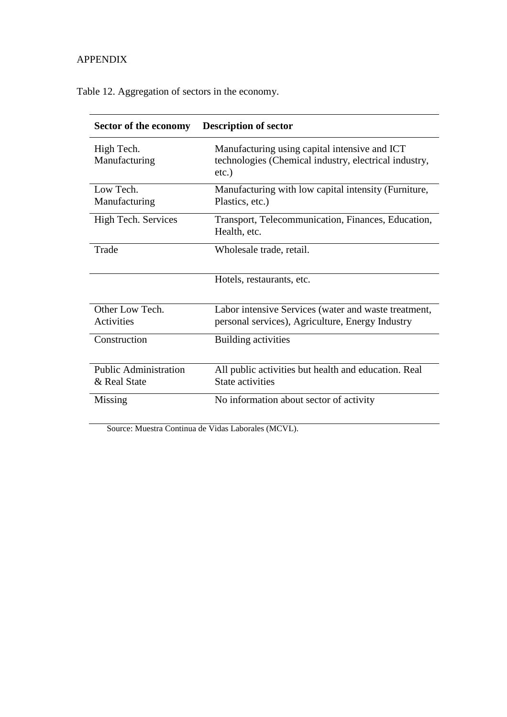#### APPENDIX

Table 12. Aggregation of sectors in the economy.

| Sector of the economy        | <b>Description of sector</b>                                                                                       |
|------------------------------|--------------------------------------------------------------------------------------------------------------------|
| High Tech.<br>Manufacturing  | Manufacturing using capital intensive and ICT<br>technologies (Chemical industry, electrical industry,<br>$etc.$ ) |
| Low Tech.                    | Manufacturing with low capital intensity (Furniture,                                                               |
| Manufacturing                | Plastics, etc.)                                                                                                    |
| High Tech. Services          | Transport, Telecommunication, Finances, Education,<br>Health, etc.                                                 |
| Trade                        | Wholesale trade, retail.                                                                                           |
|                              | Hotels, restaurants, etc.                                                                                          |
| Other Low Tech.              | Labor intensive Services (water and waste treatment,                                                               |
| Activities                   | personal services), Agriculture, Energy Industry                                                                   |
| Construction                 | Building activities                                                                                                |
| <b>Public Administration</b> | All public activities but health and education. Real                                                               |
| & Real State                 | State activities                                                                                                   |
| Missing                      | No information about sector of activity                                                                            |
|                              |                                                                                                                    |